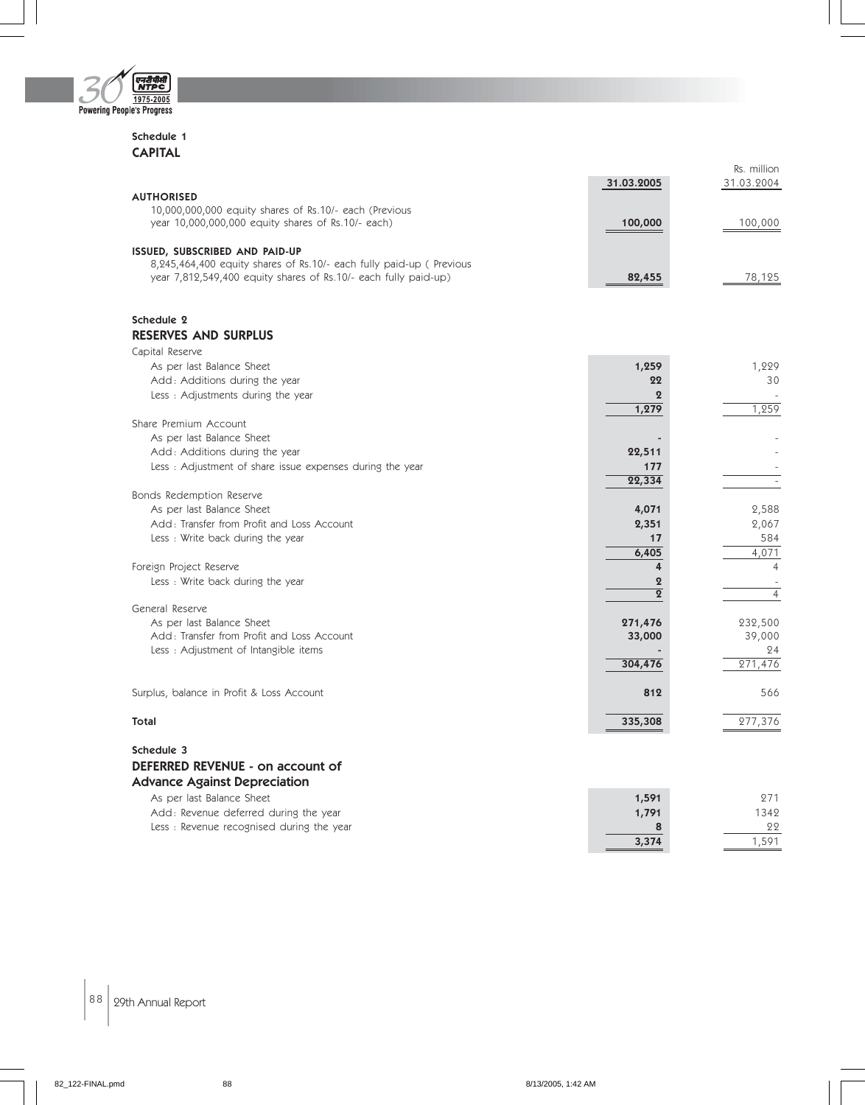

#### Schedule 1 CAPITAL

| 31.03.2005<br>31.03.2004<br><b>AUTHORISED</b><br>10,000,000,000 equity shares of Rs.10/- each (Previous<br>year 10,000,000,000 equity shares of Rs.10/- each)<br>100,000<br>100,000<br>ISSUED, SUBSCRIBED AND PAID-UP<br>8,245,464,400 equity shares of Rs.10/- each fully paid-up (Previous<br>year 7,812,549,400 equity shares of Rs.10/- each fully paid-up)<br>82,455<br>78,125<br>Schedule 2<br><b>RESERVES AND SURPLUS</b><br>Capital Reserve<br>1,259<br>As per last Balance Sheet<br>1,229<br>Add: Additions during the year<br>22<br>30<br>Less: Adjustments during the year<br>$\overline{2}$<br>1,259<br>1,279<br>Share Premium Account<br>As per last Balance Sheet<br>Add: Additions during the year<br>22,511<br>Less : Adjustment of share issue expenses during the year<br>177<br>22,334<br>÷,<br>Bonds Redemption Reserve<br>As per last Balance Sheet<br>4,071<br>2,588<br>Add: Transfer from Profit and Loss Account<br>2,351<br>2,067<br>584<br>Less: Write back during the year<br>17<br>6,405<br>4,071<br>Foreign Project Reserve<br>4<br>$\overline{4}$<br>Less: Write back during the year<br>$\overline{2}$<br>$\sim$<br>$\overline{2}$<br>$\overline{4}$<br>General Reserve<br>As per last Balance Sheet<br>271,476<br>232,500<br>Add: Transfer from Profit and Loss Account<br>39,000<br>33,000<br>Less: Adjustment of Intangible items<br>24<br>271,476<br>304,476<br>Surplus, balance in Profit & Loss Account<br>812<br>566<br><b>Total</b><br>335,308<br>277,376<br>Schedule 3<br>DEFERRED REVENUE - on account of<br><b>Advance Against Depreciation</b><br>As per last Balance Sheet<br>1,591<br>271<br>Add: Revenue deferred during the year<br>1,791<br>1342<br>Less : Revenue recognised during the year<br>22<br>8 |       | Rs. million |
|----------------------------------------------------------------------------------------------------------------------------------------------------------------------------------------------------------------------------------------------------------------------------------------------------------------------------------------------------------------------------------------------------------------------------------------------------------------------------------------------------------------------------------------------------------------------------------------------------------------------------------------------------------------------------------------------------------------------------------------------------------------------------------------------------------------------------------------------------------------------------------------------------------------------------------------------------------------------------------------------------------------------------------------------------------------------------------------------------------------------------------------------------------------------------------------------------------------------------------------------------------------------------------------------------------------------------------------------------------------------------------------------------------------------------------------------------------------------------------------------------------------------------------------------------------------------------------------------------------------------------------------------------------------------------------------------------------------------------------------------------------|-------|-------------|
|                                                                                                                                                                                                                                                                                                                                                                                                                                                                                                                                                                                                                                                                                                                                                                                                                                                                                                                                                                                                                                                                                                                                                                                                                                                                                                                                                                                                                                                                                                                                                                                                                                                                                                                                                          |       |             |
|                                                                                                                                                                                                                                                                                                                                                                                                                                                                                                                                                                                                                                                                                                                                                                                                                                                                                                                                                                                                                                                                                                                                                                                                                                                                                                                                                                                                                                                                                                                                                                                                                                                                                                                                                          |       |             |
|                                                                                                                                                                                                                                                                                                                                                                                                                                                                                                                                                                                                                                                                                                                                                                                                                                                                                                                                                                                                                                                                                                                                                                                                                                                                                                                                                                                                                                                                                                                                                                                                                                                                                                                                                          |       |             |
|                                                                                                                                                                                                                                                                                                                                                                                                                                                                                                                                                                                                                                                                                                                                                                                                                                                                                                                                                                                                                                                                                                                                                                                                                                                                                                                                                                                                                                                                                                                                                                                                                                                                                                                                                          |       |             |
|                                                                                                                                                                                                                                                                                                                                                                                                                                                                                                                                                                                                                                                                                                                                                                                                                                                                                                                                                                                                                                                                                                                                                                                                                                                                                                                                                                                                                                                                                                                                                                                                                                                                                                                                                          |       |             |
|                                                                                                                                                                                                                                                                                                                                                                                                                                                                                                                                                                                                                                                                                                                                                                                                                                                                                                                                                                                                                                                                                                                                                                                                                                                                                                                                                                                                                                                                                                                                                                                                                                                                                                                                                          |       |             |
|                                                                                                                                                                                                                                                                                                                                                                                                                                                                                                                                                                                                                                                                                                                                                                                                                                                                                                                                                                                                                                                                                                                                                                                                                                                                                                                                                                                                                                                                                                                                                                                                                                                                                                                                                          |       |             |
|                                                                                                                                                                                                                                                                                                                                                                                                                                                                                                                                                                                                                                                                                                                                                                                                                                                                                                                                                                                                                                                                                                                                                                                                                                                                                                                                                                                                                                                                                                                                                                                                                                                                                                                                                          |       |             |
|                                                                                                                                                                                                                                                                                                                                                                                                                                                                                                                                                                                                                                                                                                                                                                                                                                                                                                                                                                                                                                                                                                                                                                                                                                                                                                                                                                                                                                                                                                                                                                                                                                                                                                                                                          |       |             |
|                                                                                                                                                                                                                                                                                                                                                                                                                                                                                                                                                                                                                                                                                                                                                                                                                                                                                                                                                                                                                                                                                                                                                                                                                                                                                                                                                                                                                                                                                                                                                                                                                                                                                                                                                          |       |             |
|                                                                                                                                                                                                                                                                                                                                                                                                                                                                                                                                                                                                                                                                                                                                                                                                                                                                                                                                                                                                                                                                                                                                                                                                                                                                                                                                                                                                                                                                                                                                                                                                                                                                                                                                                          |       |             |
|                                                                                                                                                                                                                                                                                                                                                                                                                                                                                                                                                                                                                                                                                                                                                                                                                                                                                                                                                                                                                                                                                                                                                                                                                                                                                                                                                                                                                                                                                                                                                                                                                                                                                                                                                          |       |             |
|                                                                                                                                                                                                                                                                                                                                                                                                                                                                                                                                                                                                                                                                                                                                                                                                                                                                                                                                                                                                                                                                                                                                                                                                                                                                                                                                                                                                                                                                                                                                                                                                                                                                                                                                                          |       |             |
|                                                                                                                                                                                                                                                                                                                                                                                                                                                                                                                                                                                                                                                                                                                                                                                                                                                                                                                                                                                                                                                                                                                                                                                                                                                                                                                                                                                                                                                                                                                                                                                                                                                                                                                                                          |       |             |
|                                                                                                                                                                                                                                                                                                                                                                                                                                                                                                                                                                                                                                                                                                                                                                                                                                                                                                                                                                                                                                                                                                                                                                                                                                                                                                                                                                                                                                                                                                                                                                                                                                                                                                                                                          |       |             |
|                                                                                                                                                                                                                                                                                                                                                                                                                                                                                                                                                                                                                                                                                                                                                                                                                                                                                                                                                                                                                                                                                                                                                                                                                                                                                                                                                                                                                                                                                                                                                                                                                                                                                                                                                          |       |             |
|                                                                                                                                                                                                                                                                                                                                                                                                                                                                                                                                                                                                                                                                                                                                                                                                                                                                                                                                                                                                                                                                                                                                                                                                                                                                                                                                                                                                                                                                                                                                                                                                                                                                                                                                                          |       |             |
|                                                                                                                                                                                                                                                                                                                                                                                                                                                                                                                                                                                                                                                                                                                                                                                                                                                                                                                                                                                                                                                                                                                                                                                                                                                                                                                                                                                                                                                                                                                                                                                                                                                                                                                                                          |       |             |
|                                                                                                                                                                                                                                                                                                                                                                                                                                                                                                                                                                                                                                                                                                                                                                                                                                                                                                                                                                                                                                                                                                                                                                                                                                                                                                                                                                                                                                                                                                                                                                                                                                                                                                                                                          |       |             |
|                                                                                                                                                                                                                                                                                                                                                                                                                                                                                                                                                                                                                                                                                                                                                                                                                                                                                                                                                                                                                                                                                                                                                                                                                                                                                                                                                                                                                                                                                                                                                                                                                                                                                                                                                          |       |             |
|                                                                                                                                                                                                                                                                                                                                                                                                                                                                                                                                                                                                                                                                                                                                                                                                                                                                                                                                                                                                                                                                                                                                                                                                                                                                                                                                                                                                                                                                                                                                                                                                                                                                                                                                                          |       |             |
|                                                                                                                                                                                                                                                                                                                                                                                                                                                                                                                                                                                                                                                                                                                                                                                                                                                                                                                                                                                                                                                                                                                                                                                                                                                                                                                                                                                                                                                                                                                                                                                                                                                                                                                                                          |       |             |
|                                                                                                                                                                                                                                                                                                                                                                                                                                                                                                                                                                                                                                                                                                                                                                                                                                                                                                                                                                                                                                                                                                                                                                                                                                                                                                                                                                                                                                                                                                                                                                                                                                                                                                                                                          |       |             |
|                                                                                                                                                                                                                                                                                                                                                                                                                                                                                                                                                                                                                                                                                                                                                                                                                                                                                                                                                                                                                                                                                                                                                                                                                                                                                                                                                                                                                                                                                                                                                                                                                                                                                                                                                          |       |             |
|                                                                                                                                                                                                                                                                                                                                                                                                                                                                                                                                                                                                                                                                                                                                                                                                                                                                                                                                                                                                                                                                                                                                                                                                                                                                                                                                                                                                                                                                                                                                                                                                                                                                                                                                                          |       |             |
|                                                                                                                                                                                                                                                                                                                                                                                                                                                                                                                                                                                                                                                                                                                                                                                                                                                                                                                                                                                                                                                                                                                                                                                                                                                                                                                                                                                                                                                                                                                                                                                                                                                                                                                                                          |       |             |
|                                                                                                                                                                                                                                                                                                                                                                                                                                                                                                                                                                                                                                                                                                                                                                                                                                                                                                                                                                                                                                                                                                                                                                                                                                                                                                                                                                                                                                                                                                                                                                                                                                                                                                                                                          |       |             |
|                                                                                                                                                                                                                                                                                                                                                                                                                                                                                                                                                                                                                                                                                                                                                                                                                                                                                                                                                                                                                                                                                                                                                                                                                                                                                                                                                                                                                                                                                                                                                                                                                                                                                                                                                          |       |             |
|                                                                                                                                                                                                                                                                                                                                                                                                                                                                                                                                                                                                                                                                                                                                                                                                                                                                                                                                                                                                                                                                                                                                                                                                                                                                                                                                                                                                                                                                                                                                                                                                                                                                                                                                                          |       |             |
|                                                                                                                                                                                                                                                                                                                                                                                                                                                                                                                                                                                                                                                                                                                                                                                                                                                                                                                                                                                                                                                                                                                                                                                                                                                                                                                                                                                                                                                                                                                                                                                                                                                                                                                                                          |       |             |
|                                                                                                                                                                                                                                                                                                                                                                                                                                                                                                                                                                                                                                                                                                                                                                                                                                                                                                                                                                                                                                                                                                                                                                                                                                                                                                                                                                                                                                                                                                                                                                                                                                                                                                                                                          |       |             |
|                                                                                                                                                                                                                                                                                                                                                                                                                                                                                                                                                                                                                                                                                                                                                                                                                                                                                                                                                                                                                                                                                                                                                                                                                                                                                                                                                                                                                                                                                                                                                                                                                                                                                                                                                          |       |             |
|                                                                                                                                                                                                                                                                                                                                                                                                                                                                                                                                                                                                                                                                                                                                                                                                                                                                                                                                                                                                                                                                                                                                                                                                                                                                                                                                                                                                                                                                                                                                                                                                                                                                                                                                                          |       |             |
|                                                                                                                                                                                                                                                                                                                                                                                                                                                                                                                                                                                                                                                                                                                                                                                                                                                                                                                                                                                                                                                                                                                                                                                                                                                                                                                                                                                                                                                                                                                                                                                                                                                                                                                                                          |       |             |
|                                                                                                                                                                                                                                                                                                                                                                                                                                                                                                                                                                                                                                                                                                                                                                                                                                                                                                                                                                                                                                                                                                                                                                                                                                                                                                                                                                                                                                                                                                                                                                                                                                                                                                                                                          |       |             |
|                                                                                                                                                                                                                                                                                                                                                                                                                                                                                                                                                                                                                                                                                                                                                                                                                                                                                                                                                                                                                                                                                                                                                                                                                                                                                                                                                                                                                                                                                                                                                                                                                                                                                                                                                          |       |             |
|                                                                                                                                                                                                                                                                                                                                                                                                                                                                                                                                                                                                                                                                                                                                                                                                                                                                                                                                                                                                                                                                                                                                                                                                                                                                                                                                                                                                                                                                                                                                                                                                                                                                                                                                                          |       |             |
|                                                                                                                                                                                                                                                                                                                                                                                                                                                                                                                                                                                                                                                                                                                                                                                                                                                                                                                                                                                                                                                                                                                                                                                                                                                                                                                                                                                                                                                                                                                                                                                                                                                                                                                                                          |       |             |
|                                                                                                                                                                                                                                                                                                                                                                                                                                                                                                                                                                                                                                                                                                                                                                                                                                                                                                                                                                                                                                                                                                                                                                                                                                                                                                                                                                                                                                                                                                                                                                                                                                                                                                                                                          |       |             |
|                                                                                                                                                                                                                                                                                                                                                                                                                                                                                                                                                                                                                                                                                                                                                                                                                                                                                                                                                                                                                                                                                                                                                                                                                                                                                                                                                                                                                                                                                                                                                                                                                                                                                                                                                          |       |             |
|                                                                                                                                                                                                                                                                                                                                                                                                                                                                                                                                                                                                                                                                                                                                                                                                                                                                                                                                                                                                                                                                                                                                                                                                                                                                                                                                                                                                                                                                                                                                                                                                                                                                                                                                                          |       |             |
|                                                                                                                                                                                                                                                                                                                                                                                                                                                                                                                                                                                                                                                                                                                                                                                                                                                                                                                                                                                                                                                                                                                                                                                                                                                                                                                                                                                                                                                                                                                                                                                                                                                                                                                                                          |       |             |
|                                                                                                                                                                                                                                                                                                                                                                                                                                                                                                                                                                                                                                                                                                                                                                                                                                                                                                                                                                                                                                                                                                                                                                                                                                                                                                                                                                                                                                                                                                                                                                                                                                                                                                                                                          |       |             |
|                                                                                                                                                                                                                                                                                                                                                                                                                                                                                                                                                                                                                                                                                                                                                                                                                                                                                                                                                                                                                                                                                                                                                                                                                                                                                                                                                                                                                                                                                                                                                                                                                                                                                                                                                          |       |             |
|                                                                                                                                                                                                                                                                                                                                                                                                                                                                                                                                                                                                                                                                                                                                                                                                                                                                                                                                                                                                                                                                                                                                                                                                                                                                                                                                                                                                                                                                                                                                                                                                                                                                                                                                                          |       |             |
|                                                                                                                                                                                                                                                                                                                                                                                                                                                                                                                                                                                                                                                                                                                                                                                                                                                                                                                                                                                                                                                                                                                                                                                                                                                                                                                                                                                                                                                                                                                                                                                                                                                                                                                                                          |       |             |
|                                                                                                                                                                                                                                                                                                                                                                                                                                                                                                                                                                                                                                                                                                                                                                                                                                                                                                                                                                                                                                                                                                                                                                                                                                                                                                                                                                                                                                                                                                                                                                                                                                                                                                                                                          |       |             |
|                                                                                                                                                                                                                                                                                                                                                                                                                                                                                                                                                                                                                                                                                                                                                                                                                                                                                                                                                                                                                                                                                                                                                                                                                                                                                                                                                                                                                                                                                                                                                                                                                                                                                                                                                          | 3,374 | 1,591       |

 $\Big| 88 \Big| 29$ th Annual Report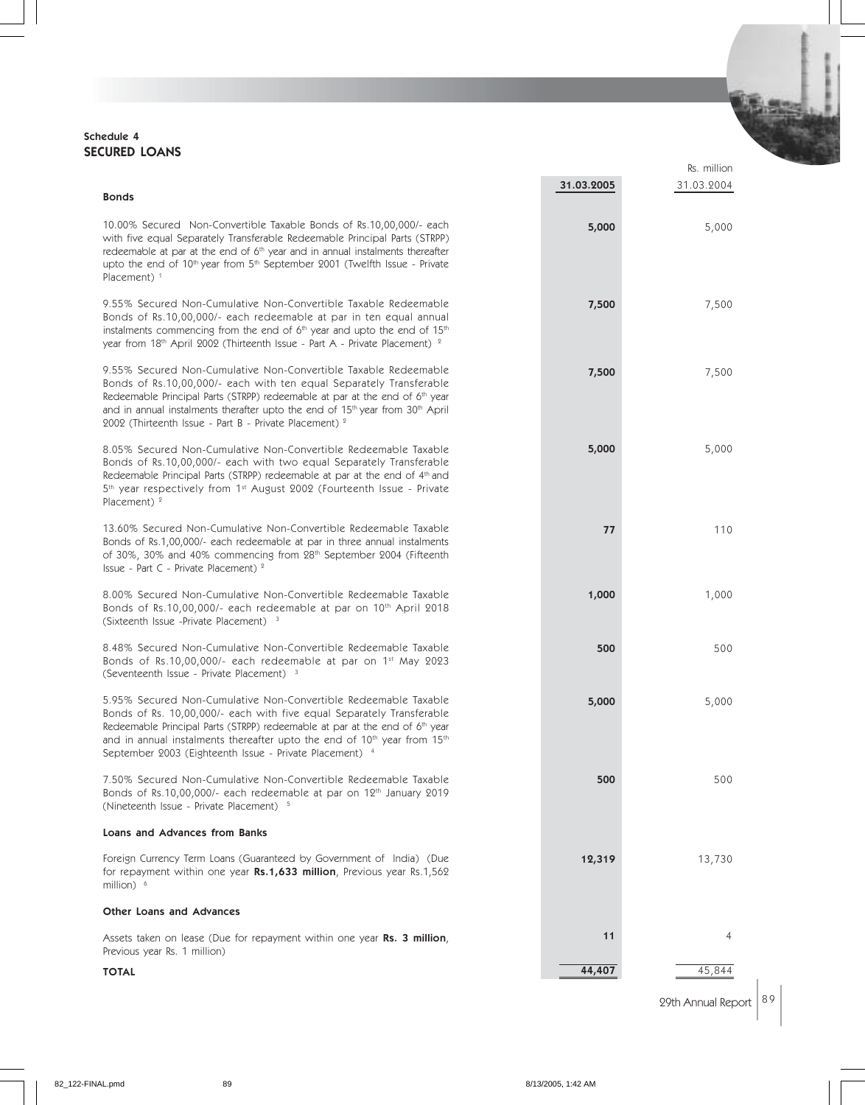#### Schedule 4 SECURED LOANS

|                                                                                                                                                                                                                                                                                                                                                                                                               |            | Rs. million |
|---------------------------------------------------------------------------------------------------------------------------------------------------------------------------------------------------------------------------------------------------------------------------------------------------------------------------------------------------------------------------------------------------------------|------------|-------------|
| <b>Bonds</b>                                                                                                                                                                                                                                                                                                                                                                                                  | 31.03.2005 | 31.03.2004  |
| 10.00% Secured Non-Convertible Taxable Bonds of Rs.10,00,000/- each<br>with five equal Separately Transferable Redeemable Principal Parts (STRPP)<br>redeemable at par at the end of 6 <sup>th</sup> year and in annual instalments thereafter<br>upto the end of 10 <sup>th</sup> year from 5 <sup>th</sup> September 2001 (Twelfth Issue - Private<br>Placement) $1$                                        | 5,000      | 5,000       |
| 9.55% Secured Non-Cumulative Non-Convertible Taxable Redeemable<br>Bonds of Rs.10,00,000/- each redeemable at par in ten equal annual<br>instalments commencing from the end of 6 <sup>th</sup> year and upto the end of 15 <sup>th</sup><br>year from 18th April 2002 (Thirteenth Issue - Part A - Private Placement) <sup>2</sup>                                                                           | 7,500      | 7,500       |
| 9.55% Secured Non-Cumulative Non-Convertible Taxable Redeemable<br>Bonds of Rs.10,00,000/- each with ten equal Separately Transferable<br>Redeemable Principal Parts (STRPP) redeemable at par at the end of 6 <sup>th</sup> year<br>and in annual instalments therafter upto the end of 15 <sup>th</sup> year from 30 <sup>th</sup> April<br>2002 (Thirteenth Issue - Part B - Private Placement) $2$        | 7,500      | 7,500       |
| 8.05% Secured Non-Cumulative Non-Convertible Redeemable Taxable<br>Bonds of Rs.10,00,000/- each with two equal Separately Transferable<br>Redeemable Principal Parts (STRPP) redeemable at par at the end of 4 <sup>th</sup> and<br>5 <sup>th</sup> year respectively from 1 <sup>st</sup> August 2002 (Fourteenth Issue - Private<br>Placement) $2$                                                          | 5,000      | 5,000       |
| 13.60% Secured Non-Cumulative Non-Convertible Redeemable Taxable<br>Bonds of Rs.1,00,000/- each redeemable at par in three annual instalments<br>of 30%, 30% and 40% commencing from 28 <sup>th</sup> September 2004 (Fifteenth<br>Issue - Part C - Private Placement) <sup>2</sup>                                                                                                                           | 77         | 110         |
| 8.00% Secured Non-Cumulative Non-Convertible Redeemable Taxable<br>Bonds of Rs.10,00,000/- each redeemable at par on 10th April 2018<br>(Sixteenth Issue -Private Placement) <sup>3</sup>                                                                                                                                                                                                                     | 1,000      | 1,000       |
| 8.48% Secured Non-Cumulative Non-Convertible Redeemable Taxable<br>Bonds of Rs.10,00,000/- each redeemable at par on 1st May 2023<br>(Seventeenth Issue - Private Placement) <sup>3</sup>                                                                                                                                                                                                                     | 500        | 500         |
| 5.95% Secured Non-Cumulative Non-Convertible Redeemable Taxable<br>Bonds of Rs. 10,00,000/- each with five equal Separately Transferable<br>Redeemable Principal Parts (STRPP) redeemable at par at the end of 6 <sup>th</sup> year<br>and in annual instalments thereafter upto the end of 10 <sup>th</sup> year from 15 <sup>th</sup><br>September 2003 (Eighteenth Issue - Private Placement) <sup>4</sup> | 5,000      | 5,000       |
| 7.50% Secured Non-Cumulative Non-Convertible Redeemable Taxable<br>Bonds of Rs.10,00,000/- each redeemable at par on 12 <sup>th</sup> January 2019<br>(Nineteenth Issue - Private Placement) 5                                                                                                                                                                                                                | 500        | 500         |
| Loans and Advances from Banks                                                                                                                                                                                                                                                                                                                                                                                 |            |             |
| Foreign Currency Term Loans (Guaranteed by Government of India) (Due<br>for repayment within one year Rs.1,633 million, Previous year Rs.1,562<br>million) $6$                                                                                                                                                                                                                                                | 12,319     | 13,730      |
| <b>Other Loans and Advances</b>                                                                                                                                                                                                                                                                                                                                                                               |            |             |
| Assets taken on lease (Due for repayment within one year <b>Rs. 3 million</b> ,<br>Previous year Rs. 1 million)                                                                                                                                                                                                                                                                                               | 11         | 4           |
| <b>TOTAL</b>                                                                                                                                                                                                                                                                                                                                                                                                  | 44,407     | 45,844      |



**SELECT**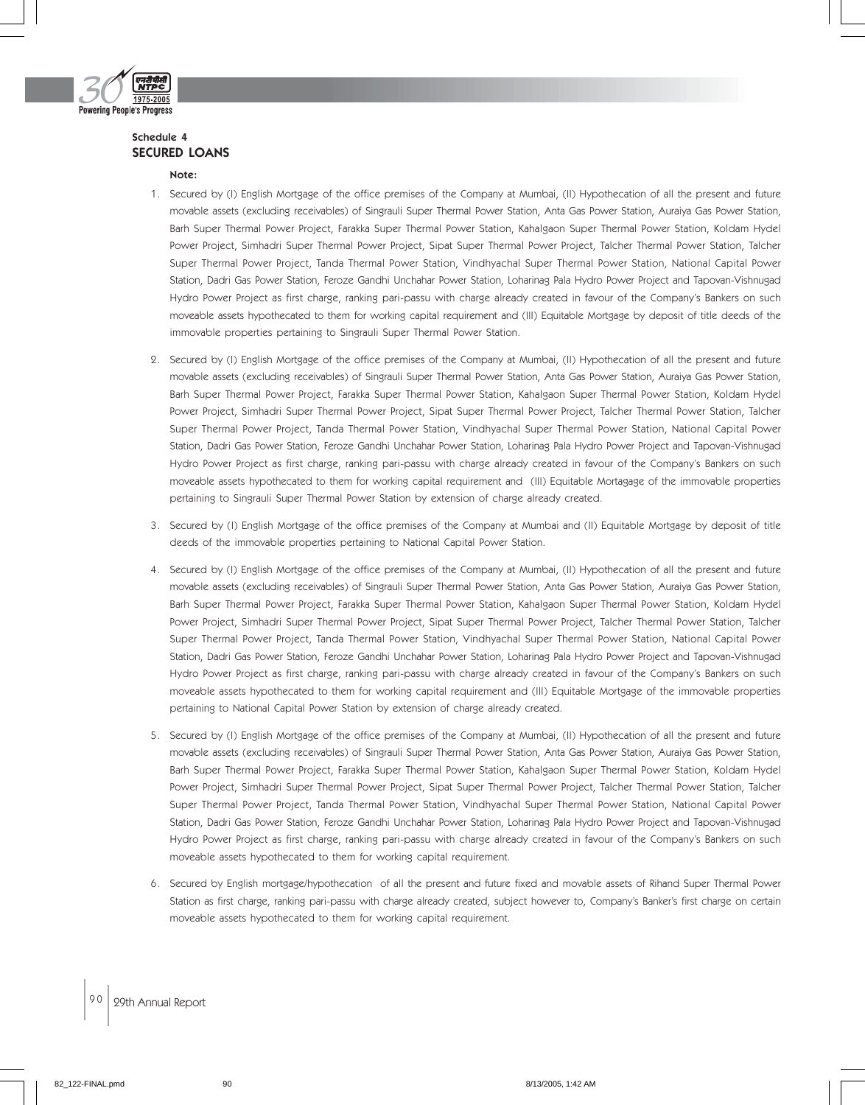

#### Schedule 4 SECURED LOANS

#### Note:

- 1. Secured by (I) English Mortgage of the office premises of the Company at Mumbai, (II) Hypothecation of all the present and future movable assets (excluding receivables) of Singrauli Super Thermal Power Station, Anta Gas Power Station, Auraiya Gas Power Station, Barh Super Thermal Power Project, Farakka Super Thermal Power Station, Kahalgaon Super Thermal Power Station, Koldam Hydel Power Project, Simhadri Super Thermal Power Project, Sipat Super Thermal Power Project, Talcher Thermal Power Station, Talcher Super Thermal Power Project, Tanda Thermal Power Station, Vindhyachal Super Thermal Power Station, National Capital Power Station, Dadri Gas Power Station, Feroze Gandhi Unchahar Power Station, Loharinag Pala Hydro Power Project and Tapovan-Vishnugad Hydro Power Project as first charge, ranking pari-passu with charge already created in favour of the Company's Bankers on such moveable assets hypothecated to them for working capital requirement and (III) Equitable Mortgage by deposit of title deeds of the immovable properties pertaining to Singrauli Super Thermal Power Station.
- 2. Secured by (I) English Mortgage of the office premises of the Company at Mumbai, (II) Hypothecation of all the present and future movable assets (excluding receivables) of Singrauli Super Thermal Power Station, Anta Gas Power Station, Auraiya Gas Power Station, Barh Super Thermal Power Project, Farakka Super Thermal Power Station, Kahalgaon Super Thermal Power Station, Koldam Hydel Power Project, Simhadri Super Thermal Power Project, Sipat Super Thermal Power Project, Talcher Thermal Power Station, Talcher Super Thermal Power Project, Tanda Thermal Power Station, Vindhyachal Super Thermal Power Station, National Capital Power Station, Dadri Gas Power Station, Feroze Gandhi Unchahar Power Station, Loharinag Pala Hydro Power Project and Tapovan-Vishnugad Hydro Power Project as first charge, ranking pari-passu with charge already created in favour of the Company's Bankers on such moveable assets hypothecated to them for working capital requirement and (III) Equitable Mortagage of the immovable properties pertaining to Singrauli Super Thermal Power Station by extension of charge already created.
- 3. Secured by (I) English Mortgage of the office premises of the Company at Mumbai and (II) Equitable Mortgage by deposit of title deeds of the immovable properties pertaining to National Capital Power Station.
- 4. Secured by (I) English Mortgage of the office premises of the Company at Mumbai, (II) Hypothecation of all the present and future movable assets (excluding receivables) of Singrauli Super Thermal Power Station, Anta Gas Power Station, Auraiya Gas Power Station, Barh Super Thermal Power Project, Farakka Super Thermal Power Station, Kahalgaon Super Thermal Power Station, Koldam Hydel Power Project, Simhadri Super Thermal Power Project, Sipat Super Thermal Power Project, Talcher Thermal Power Station, Talcher Super Thermal Power Project, Tanda Thermal Power Station, Vindhyachal Super Thermal Power Station, National Capital Power Station, Dadri Gas Power Station, Feroze Gandhi Unchahar Power Station, Loharinag Pala Hydro Power Project and Tapovan-Vishnugad Hydro Power Project as first charge, ranking pari-passu with charge already created in favour of the Company's Bankers on such moveable assets hypothecated to them for working capital requirement and (III) Equitable Mortgage of the immovable properties pertaining to National Capital Power Station by extension of charge already created.
- 5. Secured by (I) English Mortgage of the office premises of the Company at Mumbai, (II) Hypothecation of all the present and future movable assets (excluding receivables) of Singrauli Super Thermal Power Station, Anta Gas Power Station, Auraiya Gas Power Station, Barh Super Thermal Power Project, Farakka Super Thermal Power Station, Kahalgaon Super Thermal Power Station, Koldam Hydel Power Project, Simhadri Super Thermal Power Project, Sipat Super Thermal Power Project, Talcher Thermal Power Station, Talcher Super Thermal Power Project, Tanda Thermal Power Station, Vindhyachal Super Thermal Power Station, National Capital Power Station, Dadri Gas Power Station, Feroze Gandhi Unchahar Power Station, Loharinag Pala Hydro Power Project and Tapovan-Vishnugad Hydro Power Project as first charge, ranking pari-passu with charge already created in favour of the Company's Bankers on such moveable assets hypothecated to them for working capital requirement.
- 6. Secured by English mortgage/hypothecation of all the present and future fixed and movable assets of Rihand Super Thermal Power Station as first charge, ranking pari-passu with charge already created, subject however to, Company's Banker's first charge on certain moveable assets hypothecated to them for working capital requirement.

90 | 29th Annual Report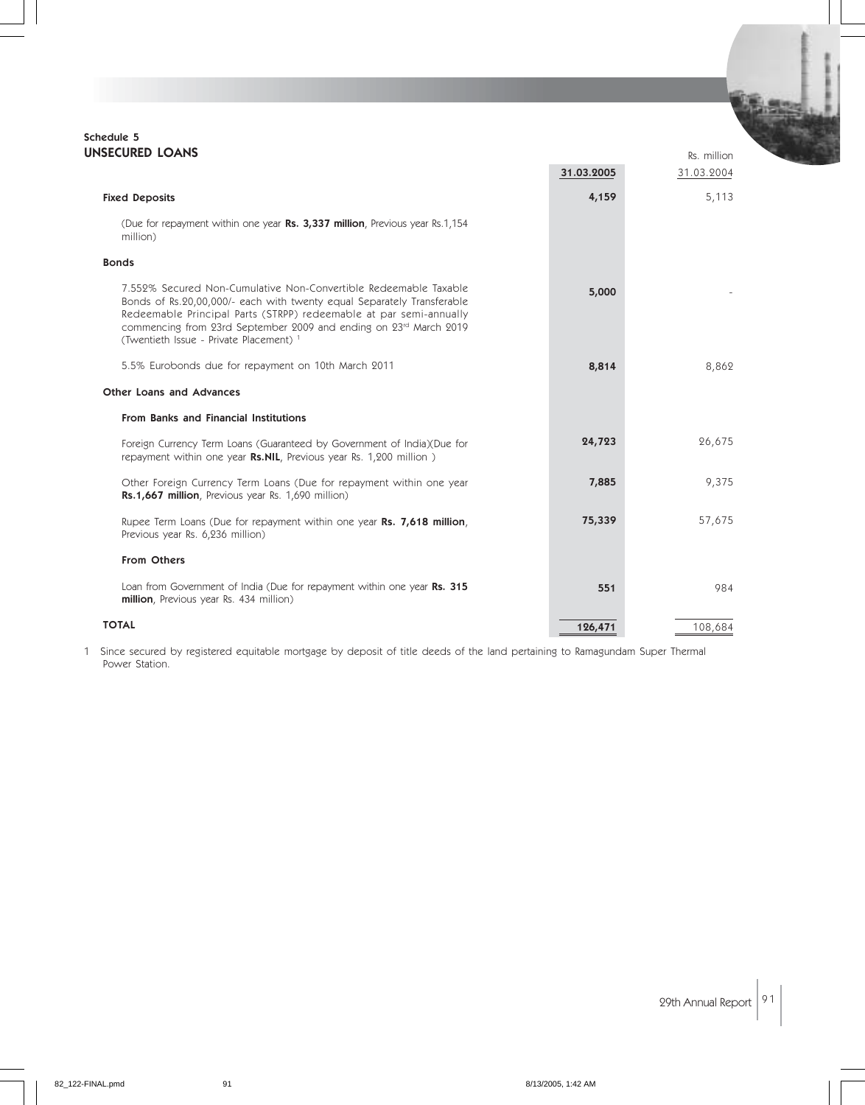#### Schedule 5 UNSECURED LOANS

| <b>NSECURED LOANS</b>                                                                                                                                                                                                                                                                                                                       |            | Rs. million |
|---------------------------------------------------------------------------------------------------------------------------------------------------------------------------------------------------------------------------------------------------------------------------------------------------------------------------------------------|------------|-------------|
|                                                                                                                                                                                                                                                                                                                                             | 31.03.2005 | 31.03.2004  |
| <b>Fixed Deposits</b>                                                                                                                                                                                                                                                                                                                       | 4,159      | 5,113       |
| (Due for repayment within one year Rs. 3,337 million, Previous year Rs.1,154<br>million)                                                                                                                                                                                                                                                    |            |             |
| <b>Bonds</b>                                                                                                                                                                                                                                                                                                                                |            |             |
| 7.552% Secured Non-Cumulative Non-Convertible Redeemable Taxable<br>Bonds of Rs.20,00,000/- each with twenty equal Separately Transferable<br>Redeemable Principal Parts (STRPP) redeemable at par semi-annually<br>commencing from 23rd September 2009 and ending on 23rd March 2019<br>(Twentieth Issue - Private Placement) <sup>1</sup> | 5,000      |             |
| 5.5% Eurobonds due for repayment on 10th March 2011                                                                                                                                                                                                                                                                                         | 8,814      | 8,862       |
| Other Loans and Advances                                                                                                                                                                                                                                                                                                                    |            |             |
| <b>From Banks and Financial Institutions</b>                                                                                                                                                                                                                                                                                                |            |             |
| Foreign Currency Term Loans (Guaranteed by Government of India)(Due for<br>repayment within one year Rs.NIL, Previous year Rs. 1,200 million)                                                                                                                                                                                               | 24,723     | 26,675      |
| Other Foreign Currency Term Loans (Due for repayment within one year<br>Rs.1,667 million, Previous year Rs. 1,690 million)                                                                                                                                                                                                                  | 7,885      | 9,375       |
| Rupee Term Loans (Due for repayment within one year Rs. 7,618 million,<br>Previous year Rs. 6,236 million)                                                                                                                                                                                                                                  | 75,339     | 57,675      |
| From Others                                                                                                                                                                                                                                                                                                                                 |            |             |
| Loan from Government of India (Due for repayment within one year Rs. 315<br>million, Previous year Rs. 434 million)                                                                                                                                                                                                                         | 551        | 984         |
| <b>TOTAL</b>                                                                                                                                                                                                                                                                                                                                | 126,471    | 108,684     |

1 Since secured by registered equitable mortgage by deposit of title deeds of the land pertaining to Ramagundam Super Thermal Power Station.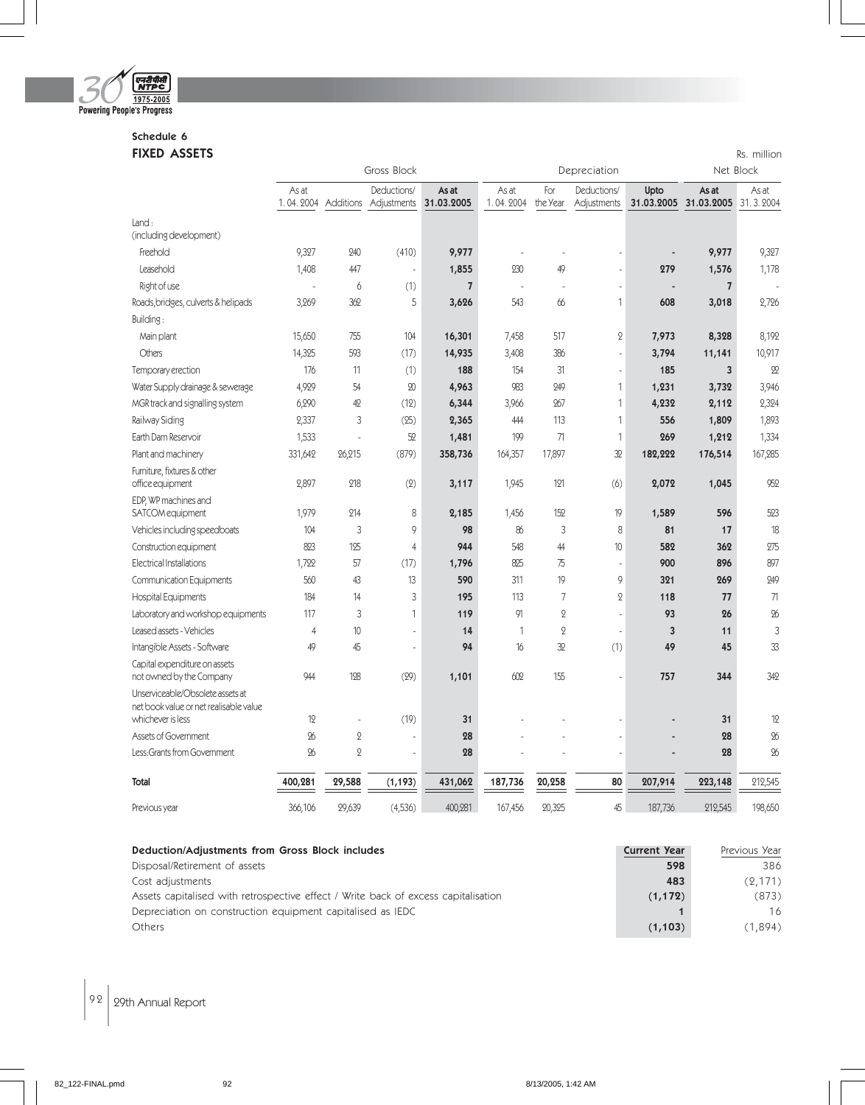

# Schedule 6

| <b>FIXED ASSETS</b>                                                        |                    |                |                                |                     |                    |                 |                            |           |                                | Rs. million        |
|----------------------------------------------------------------------------|--------------------|----------------|--------------------------------|---------------------|--------------------|-----------------|----------------------------|-----------|--------------------------------|--------------------|
|                                                                            |                    |                | Gross Block                    |                     |                    |                 | Depreciation               |           | Net Block                      |                    |
|                                                                            | As at<br>1.04.2004 | Additions      | Deductions/<br>Adjustments     | As at<br>31.03.2005 | As at<br>1.04.2004 | For<br>the Year | Deductions/<br>Adjustments | Upto      | As at<br>31.03.2005 31.03.2005 | As at<br>31.3.2004 |
| Land:                                                                      |                    |                |                                |                     |                    |                 |                            |           |                                |                    |
| (including development)                                                    |                    |                |                                |                     |                    |                 |                            |           |                                |                    |
| Freehold                                                                   | 9,327              | 240            | (410)                          | 9,977               |                    |                 |                            |           | 9,977                          | 9,327              |
| Leasehold                                                                  | 1,408              | 447            | ä,                             | 1,855               | 230                | 49              | ÷,                         | 279       | 1,576                          | 1,178              |
| Right of use                                                               |                    | 6              | (1)                            | $\overline{7}$      |                    |                 | ä,                         |           | $\overline{\mathfrak{z}}$      |                    |
| Roads, bridges, culverts & helipads                                        | 3,269              | 362            | 5                              | 3,626               | 543                | 66              | $\mathbf{1}$               | 608       | 3,018                          | 2,726              |
| Building:                                                                  |                    |                |                                |                     |                    |                 |                            |           |                                |                    |
| Main plant                                                                 | 15,650             | 755            | 104                            | 16,301              | 7,458              | 517             | $\mathbf 2$                | 7,973     | 8,328                          | 8,192              |
| Others                                                                     | 14,325             | 593            | (17)                           | 14,935              | 3,408              | 386             | $\overline{a}$             | 3,794     | 11,141                         | 10,917             |
| Temporary erection                                                         | 176                | 11             | (1)                            | 188                 | 154                | 31              | ÷,                         | 185       | $\overline{\mathbf{3}}$        | $\mathfrak{D}$     |
| Water Supply drainage & sewerage                                           | 4,929              | 54             | $\boldsymbol{\mathsf{\Omega}}$ | 4,963               | 983                | 249             | $\mathbf{1}$               | 1,231     | 3,732                          | 3,946              |
| MGR track and signalling system                                            | 6,290              | 42             | (12)                           | 6,344               | 3,966              | 267             | $\mathbf{1}$               | 4,232     | 2,112                          | 2,324              |
| Railway Siding                                                             | 2,337              | 3              | (25)                           | 2,365               | 444                | 113             | $\mathbf{1}$               | 556       | 1,809                          | 1,893              |
| Earth Dam Reservoir                                                        | 1,533              | ÷,             | 52                             | 1,481               | 199                | 71              | $\mathbf{1}$               | 269       | 1,212                          | 1,334              |
| Plant and machinery                                                        | 331,642            | 26,215         | (879)                          | 358,736             | 164,357            | 17,897          | 32                         | 182,222   | 176,514                        | 167,285            |
| Furniture, fixtures & other<br>office equipment                            | 2,897              | 218            | (2)                            | 3,117               | 1,945              | 121             | (6)                        | 2,072     | 1,045                          | 952                |
| EDP, WP machines and                                                       |                    |                |                                |                     |                    |                 |                            |           |                                |                    |
| SATCOM equipment                                                           | 1,979              | 214            | 8                              | 2,185               | 1,456              | 152             | 19                         | 1,589     | 596                            | 523                |
| Vehicles including speedboats                                              | 104                | 3              | 9                              | 98                  | 86                 | 3               | 8                          | 81        | 17                             | 18                 |
| Construction equipment                                                     | 823                | 125            | 4                              | 944                 | 548                | 44              | 10                         | 582       | 362                            | 275                |
| Electrical Installations                                                   | 1,722              | 57             | (17)                           | 1,796               | 825                | 75              | ä,                         | 900       | 896                            | 897                |
| <b>Communication Equipments</b>                                            | 560                | 43             | 13                             | 590                 | 311                | 19<br>7         | 9<br>$\overline{Q}$        | 321       | 269                            | 249                |
| <b>Hospital Equipments</b>                                                 | 184<br>117         | 14<br>3        | 3<br>$\mathbf{1}$              | 195<br>119          | 113<br>91          | $\overline{2}$  | ÷,                         | 118<br>93 | 77<br>26                       | 71<br>%            |
| Laboratory and workshop equipments<br>Leased assets - Vehicles             | $\overline{4}$     | 10             | ÷,                             | 14                  | 1                  | $\overline{2}$  | L.                         | 3         | 11                             | 3                  |
| Intangible Assets - Software                                               | 49                 | 45             | ä,                             | 94                  | 16                 | 32              | (1)                        | 49        | 45                             | 33                 |
| Capital expenditure on assets                                              |                    |                |                                |                     |                    |                 |                            |           |                                |                    |
| not owned by the Company                                                   | 944                | 128            | (29)                           | 1,101               | 602                | 155             | L.                         | 757       | 344                            | 342                |
| Unserviceable/Obsolete assets at<br>net book value or net realisable value |                    |                |                                |                     |                    |                 |                            |           |                                |                    |
| whichever is less                                                          | 12                 |                | (19)                           | 31                  |                    |                 |                            |           | 31                             | 12                 |
| Assets of Government                                                       | 26                 | $\mathbf{Q}$   | $\overline{a}$                 | 28                  |                    |                 | L.                         |           | 28                             | $\%$               |
| Less: Grants from Government                                               | $\infty$           | $\overline{2}$ | ä,                             | 28                  |                    |                 | ÷,                         |           | 28                             | %                  |
| Total                                                                      | 400,281            | 29,588         | (1, 193)                       | 431,062             | 187,736            | 20,258          | 80                         | 207,914   | 223,148                        | 212,545            |
| Previous year                                                              | 366,106            | 29,639         | (4,536)                        | 400,281             | 167,456            | 20,325          | 45                         | 187,736   | 212,545                        | 198,650            |

| Deduction/Adjustments from Gross Block includes                                    | <b>Current Year</b> | Previous Year |
|------------------------------------------------------------------------------------|---------------------|---------------|
| Disposal/Retirement of assets                                                      | 598                 | 386           |
| Cost adjustments                                                                   | 483                 | (2, 171)      |
| Assets capitalised with retrospective effect / Write back of excess capitalisation | (1, 172)            | (873)         |
| Depreciation on construction equipment capitalised as IEDC                         |                     | 16            |
| Others                                                                             | (1, 103)            | (1.894)       |

 $\left| 92 \right|$  29th Annual Report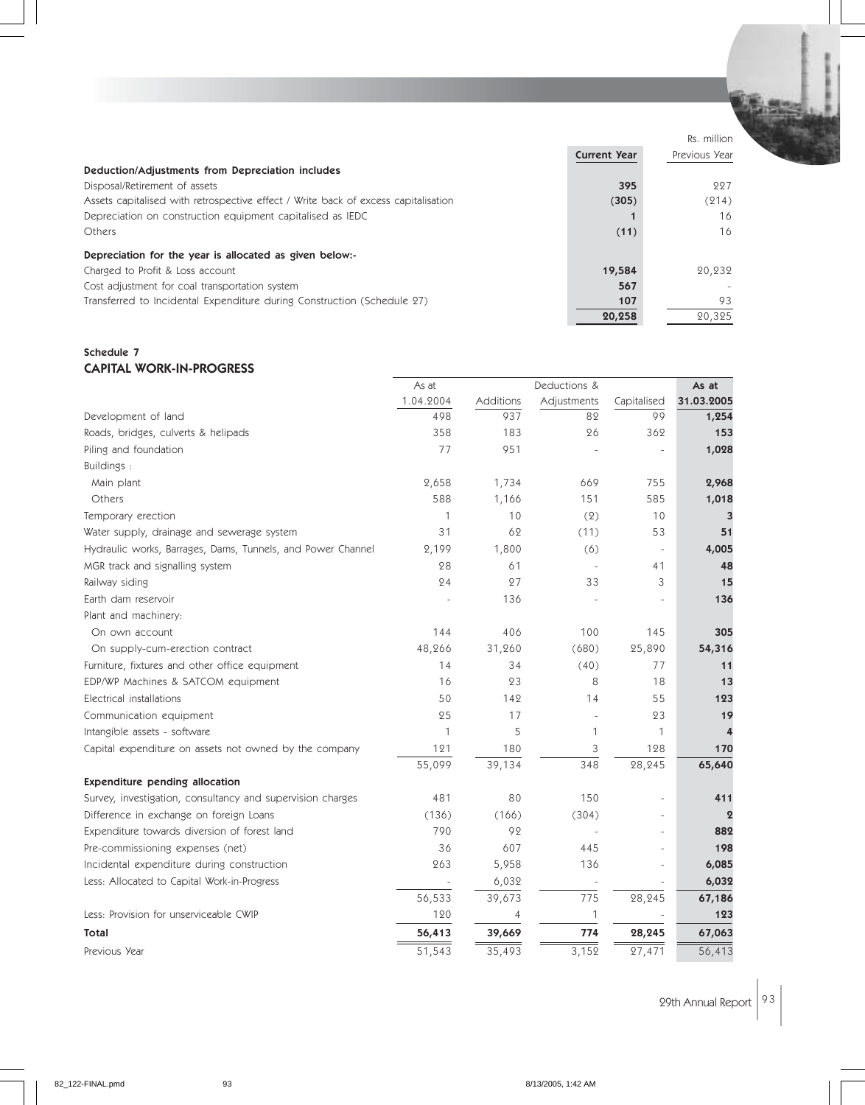|                                                                                    |                     | Rs. million   |
|------------------------------------------------------------------------------------|---------------------|---------------|
|                                                                                    | <b>Current Year</b> | Previous Year |
| Deduction/Adjustments from Depreciation includes                                   |                     |               |
| Disposal/Retirement of assets                                                      | 395                 | 227           |
| Assets capitalised with retrospective effect / Write back of excess capitalisation | (305)               | (214)         |
| Depreciation on construction equipment capitalised as IEDC                         |                     | 16            |
| Others                                                                             | (11)                | 16            |
| Depreciation for the year is allocated as given below:-                            |                     |               |
| Charged to Profit & Loss account                                                   | 19,584              | 20,232        |
| Cost adjustment for coal transportation system                                     | 567                 |               |
| Transferred to Incidental Expenditure during Construction (Schedule 27)            | 107                 | 93            |
|                                                                                    | 20,258              | 20.325        |

#### Schedule 7 CAPITAL WORK-IN-PROGRESS

|                                                             | As at     | Deductions &   |              |                          | As at          |
|-------------------------------------------------------------|-----------|----------------|--------------|--------------------------|----------------|
|                                                             | 1.04.2004 | Additions      | Adjustments  | Capitalised              | 31.03.2005     |
| Development of land                                         | 498       | 937            | 82           | 99                       | 1,254          |
| Roads, bridges, culverts & helipads                         | 358       | 183            | 26           | 362                      | 153            |
| Piling and foundation                                       | 77        | 951            |              |                          | 1,028          |
| Buildings:                                                  |           |                |              |                          |                |
| Main plant                                                  | 2,658     | 1,734          | 669          | 755                      | 2,968          |
| Others                                                      | 588       | 1,166          | 151          | 585                      | 1,018          |
| Temporary erection                                          | 1         | 10             | (2)          | 10                       | 3              |
| Water supply, drainage and sewerage system                  | 31        | 62             | (11)         | 53                       | 51             |
| Hydraulic works, Barrages, Dams, Tunnels, and Power Channel | 2,199     | 1,800          | (6)          | $\overline{\phantom{a}}$ | 4,005          |
| MGR track and signalling system                             | 28        | 61             |              | 41                       | 48             |
| Railway siding                                              | 24        | 27             | 33           | 3                        | 15             |
| Earth dam reservoir                                         |           | 136            |              |                          | 136            |
| Plant and machinery:                                        |           |                |              |                          |                |
| On own account                                              | 144       | 406            | 100          | 145                      | 305            |
| On supply-cum-erection contract                             | 48,266    | 31,260         | (680)        | 25,890                   | 54,316         |
| Furniture, fixtures and other office equipment              | 14        | 34             | (40)         | 77                       | 11             |
| EDP/WP Machines & SATCOM equipment                          | 16        | 23             | 8            | 18                       | 13             |
| Electrical installations                                    | 50        | 142            | 14           | 55                       | 123            |
| Communication equipment                                     | 25        | 17             |              | 23                       | 19             |
| Intangible assets - software                                | 1         | 5              | 1            | 1                        |                |
| Capital expenditure on assets not owned by the company      | 121       | 180            | 3            | 128                      | 170            |
|                                                             | 55,099    | 39,134         | 348          | 28,245                   | 65,640         |
| <b>Expenditure pending allocation</b>                       |           |                |              |                          |                |
| Survey, investigation, consultancy and supervision charges  | 481       | 80             | 150          | $\equiv$                 | 411            |
| Difference in exchange on foreign Loans                     | (136)     | (166)          | (304)        |                          | $\overline{2}$ |
| Expenditure towards diversion of forest land                | 790       | 92             |              |                          | 882            |
| Pre-commissioning expenses (net)                            | 36        | 607            | 445          |                          | 198            |
| Incidental expenditure during construction                  | 263       | 5,958          | 136          |                          | 6,085          |
| Less: Allocated to Capital Work-in-Progress                 |           | 6,032          |              |                          | 6,032          |
|                                                             | 56,533    | 39,673         | 775          | 28,245                   | 67,186         |
| Less: Provision for unserviceable CWIP                      | 120       | $\overline{4}$ | $\mathbf{1}$ |                          | 123            |
| Total                                                       | 56,413    | 39,669         | 774          | 28,245                   | 67,063         |
| Previous Year                                               | 51,543    | 35,493         | 3,152        | $\frac{27,471}{2}$       | 56,413         |

29th Annual Report  $\sqrt{93}$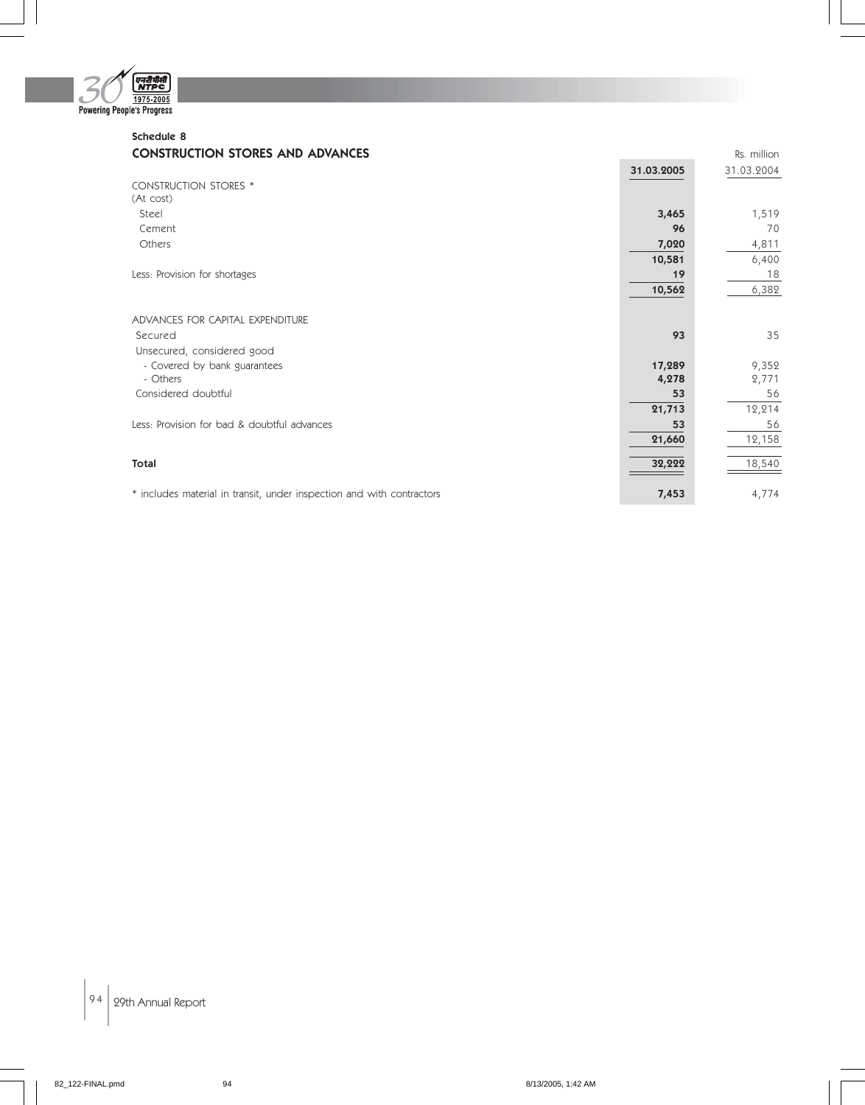

### Schedule 8 **CONSTRUCTION STORES AND ADVANCES CONSTRUCTION STORES AND ADVANCES**

|                                                                       | 31.03.2005 | 31.03.2004 |
|-----------------------------------------------------------------------|------------|------------|
| <b>CONSTRUCTION STORES *</b>                                          |            |            |
| (At cost)                                                             |            |            |
| Steel                                                                 | 3,465      | 1,519      |
| Cement                                                                | 96         | 70         |
| Others                                                                | 7,020      | 4,811      |
|                                                                       | 10,581     | 6,400      |
| Less: Provision for shortages                                         | 19         | 18         |
|                                                                       | 10,562     | 6,382      |
|                                                                       |            |            |
| ADVANCES FOR CAPITAL EXPENDITURE                                      |            |            |
| Secured                                                               | 93         | 35         |
| Unsecured, considered good                                            |            |            |
| - Covered by bank guarantees                                          | 17,289     | 9,352      |
| - Others                                                              | 4,278      | 2,771      |
| Considered doubtful                                                   | 53         | 56         |
|                                                                       | 21,713     | 12,214     |
| Less: Provision for bad & doubtful advances                           | 53         | 56         |
|                                                                       | 21,660     | 12,158     |
|                                                                       |            |            |
| Total                                                                 | 32,222     | 18,540     |
|                                                                       |            |            |
| * includes material in transit, under inspection and with contractors | 7,453      | 4,774      |

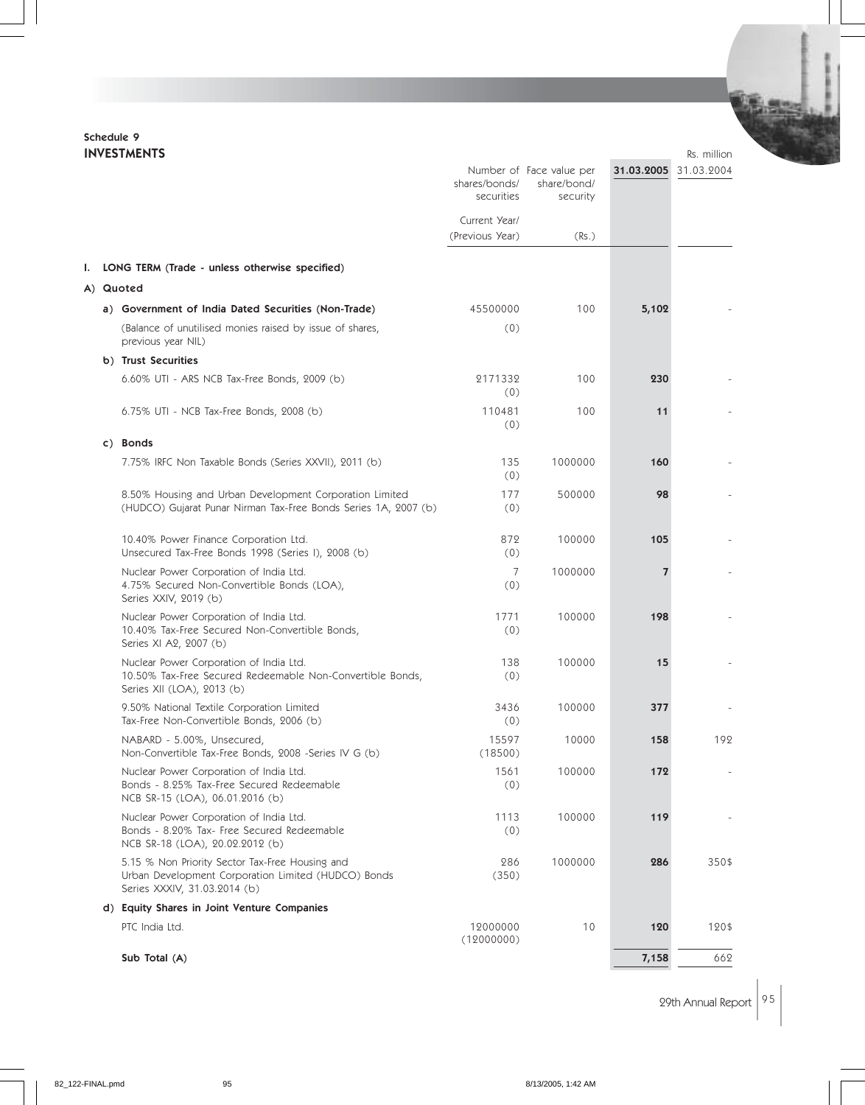# Schedule 9

|    | <b>INVESTMENTS</b>                                                                                                                     |                                  |                                                     |                | Rs. million |
|----|----------------------------------------------------------------------------------------------------------------------------------------|----------------------------------|-----------------------------------------------------|----------------|-------------|
|    |                                                                                                                                        | shares/bonds/<br>securities      | Number of Face value per<br>share/bond/<br>security | 31.03.2005     | 31.03.2004  |
|    |                                                                                                                                        | Current Year/<br>(Previous Year) | (Rs.)                                               |                |             |
| L. | LONG TERM (Trade - unless otherwise specified)                                                                                         |                                  |                                                     |                |             |
|    | A) Quoted                                                                                                                              |                                  |                                                     |                |             |
|    | a) Government of India Dated Securities (Non-Trade)                                                                                    | 45500000                         | 100                                                 | 5,102          |             |
|    | (Balance of unutilised monies raised by issue of shares,<br>previous year NIL)                                                         | (0)                              |                                                     |                |             |
|    | b) Trust Securities                                                                                                                    |                                  |                                                     |                |             |
|    | 6.60% UTI - ARS NCB Tax-Free Bonds, 2009 (b)                                                                                           | 2171332<br>(0)                   | 100                                                 | 230            |             |
|    | 6.75% UTI - NCB Tax-Free Bonds, 2008 (b)                                                                                               | 110481<br>(0)                    | 100                                                 | 11             |             |
|    | c) Bonds                                                                                                                               |                                  |                                                     |                |             |
|    | 7.75% IRFC Non Taxable Bonds (Series XXVII), 2011 (b)                                                                                  | 135<br>(0)                       | 1000000                                             | 160            |             |
|    | 8.50% Housing and Urban Development Corporation Limited<br>(HUDCO) Gujarat Punar Nirman Tax-Free Bonds Series 1A, 2007 (b)             | 177<br>(0)                       | 500000                                              | 98             |             |
|    | 10.40% Power Finance Corporation Ltd.<br>Unsecured Tax-Free Bonds 1998 (Series I), 2008 (b)                                            | 872<br>(0)                       | 100000                                              | 105            |             |
|    | Nuclear Power Corporation of India Ltd.<br>4.75% Secured Non-Convertible Bonds (LOA),<br>Series XXIV, 2019 (b)                         | 7<br>(0)                         | 1000000                                             | $\overline{7}$ |             |
|    | Nuclear Power Corporation of India Ltd.<br>10.40% Tax-Free Secured Non-Convertible Bonds,<br>Series XI A2, 2007 (b)                    | 1771<br>(0)                      | 100000                                              | 198            |             |
|    | Nuclear Power Corporation of India Ltd.<br>10.50% Tax-Free Secured Redeemable Non-Convertible Bonds,<br>Series XII (LOA), 2013 (b)     | 138<br>(0)                       | 100000                                              | 15             |             |
|    | 9.50% National Textile Corporation Limited<br>Tax-Free Non-Convertible Bonds, 2006 (b)                                                 | 3436<br>(0)                      | 100000                                              | 377            |             |
|    | NABARD - 5.00%, Unsecured,<br>Non-Convertible Tax-Free Bonds, 2008 -Series IV G (b)                                                    | 15597<br>(18500)                 | 10000                                               | 158            | 192         |
|    | Nuclear Power Corporation of India Ltd.<br>Bonds - 8.25% Tax-Free Secured Redeemable<br>NCB SR-15 (LOA), 06.01.2016 (b)                | 1561<br>(0)                      | 100000                                              | 172            |             |
|    | Nuclear Power Corporation of India Ltd.<br>Bonds - 8.20% Tax- Free Secured Redeemable<br>NCB SR-18 (LOA), 20.02.2012 (b)               | 1113<br>(0)                      | 100000                                              | 119            |             |
|    | 5.15 % Non Priority Sector Tax-Free Housing and<br>Urban Development Corporation Limited (HUDCO) Bonds<br>Series XXXIV, 31.03.2014 (b) | 286<br>(350)                     | 1000000                                             | 286            | 350\$       |
|    | d) Equity Shares in Joint Venture Companies                                                                                            |                                  |                                                     |                |             |
|    | PTC India Ltd.                                                                                                                         | 12000000<br>(12000000)           | 10                                                  | 120            | 120\$       |
|    | Sub Total (A)                                                                                                                          |                                  |                                                     | 7,158          | 662         |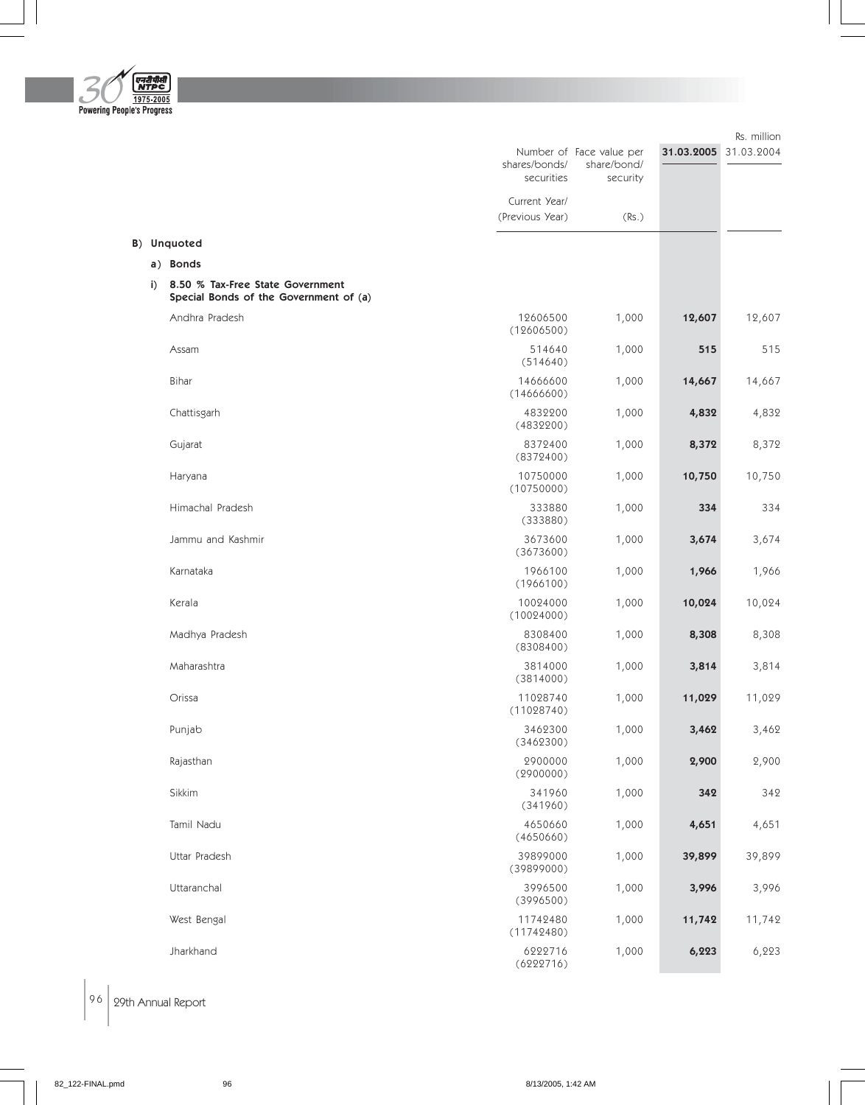

|    |                                                                            | shares/bonds/<br>securities      | Number of Face value per<br>share/bond/<br>security |        | 31.03.2005 31.03.2004 |
|----|----------------------------------------------------------------------------|----------------------------------|-----------------------------------------------------|--------|-----------------------|
|    |                                                                            | Current Year/<br>(Previous Year) | (Rs.)                                               |        |                       |
|    | B) Unquoted                                                                |                                  |                                                     |        |                       |
|    | a) Bonds                                                                   |                                  |                                                     |        |                       |
| i) | 8.50 % Tax-Free State Government<br>Special Bonds of the Government of (a) |                                  |                                                     |        |                       |
|    | Andhra Pradesh                                                             | 12606500<br>(12606500)           | 1,000                                               | 12,607 | 12,607                |
|    | Assam                                                                      | 514640<br>(514640)               | 1,000                                               | 515    | 515                   |
|    | Bihar                                                                      | 14666600<br>(14666600)           | 1,000                                               | 14,667 | 14,667                |
|    | Chattisgarh                                                                | 4832200<br>(4832200)             | 1,000                                               | 4,832  | 4,832                 |
|    | Gujarat                                                                    | 8372400<br>(8372400)             | 1,000                                               | 8,372  | 8,372                 |
|    | Haryana                                                                    | 10750000<br>(10750000)           | 1,000                                               | 10,750 | 10,750                |
|    | Himachal Pradesh                                                           | 333880<br>(333880)               | 1,000                                               | 334    | 334                   |
|    | Jammu and Kashmir                                                          | 3673600<br>(3673600)             | 1,000                                               | 3,674  | 3,674                 |
|    | Karnataka                                                                  | 1966100<br>(1966100)             | 1,000                                               | 1,966  | 1,966                 |
|    | Kerala                                                                     | 10024000<br>(10024000)           | 1,000                                               | 10,024 | 10,024                |
|    | Madhya Pradesh                                                             | 8308400<br>(8308400)             | 1,000                                               | 8,308  | 8,308                 |
|    | Maharashtra                                                                | 3814000<br>(3814000)             | 1,000                                               | 3,814  | 3,814                 |
|    | Orissa                                                                     | 11028740<br>(11028740)           | 1,000                                               | 11,029 | 11,029                |
|    | Punjab                                                                     | 3462300<br>(3462300)             | 1,000                                               | 3,462  | 3,462                 |
|    | Rajasthan                                                                  | 2900000<br>(2900000)             | 1,000                                               | 2,900  | 2,900                 |
|    | Sikkim                                                                     | 341960<br>(341960)               | 1,000                                               | 342    | 342                   |
|    | Tamil Nadu                                                                 | 4650660<br>(4650660)             | 1,000                                               | 4,651  | 4,651                 |
|    | Uttar Pradesh                                                              | 39899000<br>(39899000)           | 1,000                                               | 39,899 | 39,899                |
|    | Uttaranchal                                                                | 3996500<br>(3996500)             | 1,000                                               | 3,996  | 3,996                 |
|    | West Bengal                                                                | 11742480<br>(11742480)           | 1,000                                               | 11,742 | 11,742                |
|    | Jharkhand                                                                  | 6222716<br>(6222716)             | 1,000                                               | 6,223  | 6,223                 |

Rs. million

 $\Big|$  96  $\Big|$  29th Annual Report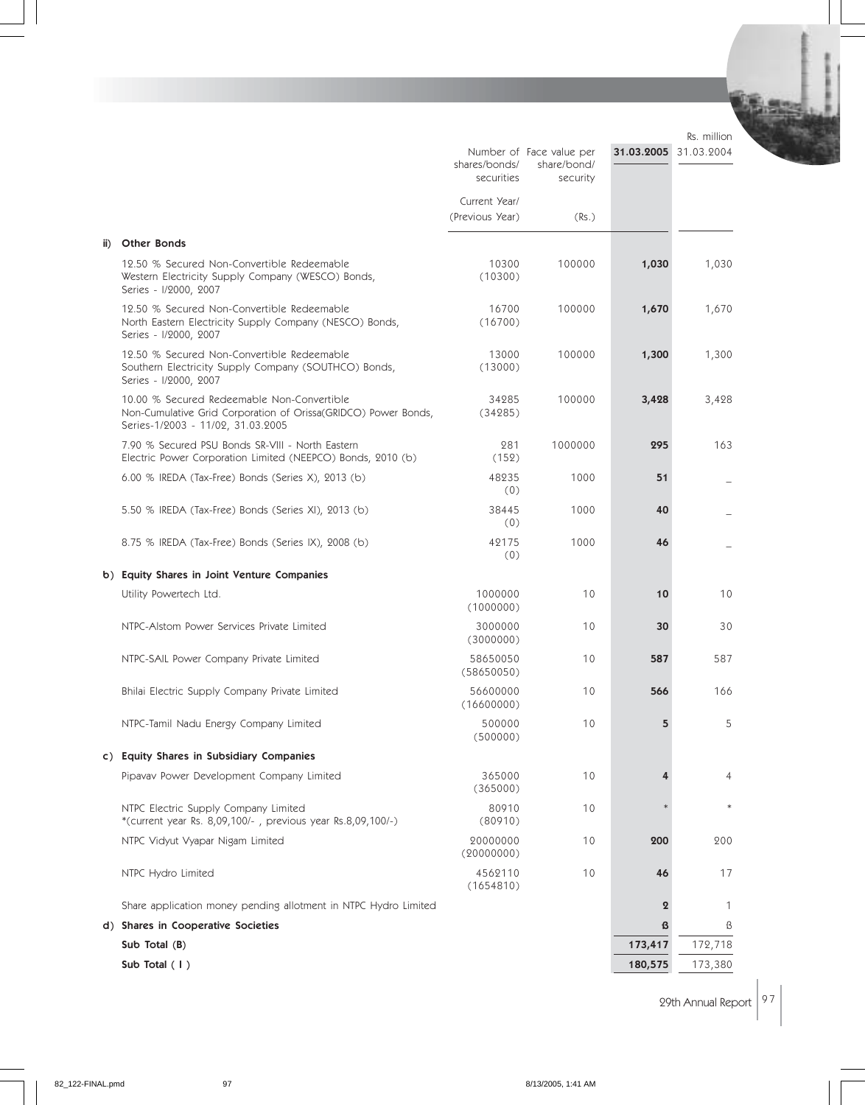Rs. million

|     |                                                                                                                                                   | shares/bonds/<br>securities      | Number of Face value per<br>share/bond/<br>security | 31.03.2005 31.03.2004 |         |
|-----|---------------------------------------------------------------------------------------------------------------------------------------------------|----------------------------------|-----------------------------------------------------|-----------------------|---------|
|     |                                                                                                                                                   | Current Year/<br>(Previous Year) | (Rs.)                                               |                       |         |
| ii) | <b>Other Bonds</b>                                                                                                                                |                                  |                                                     |                       |         |
|     | 12.50 % Secured Non-Convertible Redeemable<br>Western Electricity Supply Company (WESCO) Bonds,<br>Series - I/2000, 2007                          | 10300<br>(10300)                 | 100000                                              | 1,030                 | 1,030   |
|     | 12.50 % Secured Non-Convertible Redeemable<br>North Eastern Electricity Supply Company (NESCO) Bonds,<br>Series - I/2000, 2007                    | 16700<br>(16700)                 | 100000                                              | 1,670                 | 1,670   |
|     | 12.50 % Secured Non-Convertible Redeemable<br>Southern Electricity Supply Company (SOUTHCO) Bonds,<br>Series - I/2000, 2007                       | 13000<br>(13000)                 | 100000                                              | 1,300                 | 1,300   |
|     | 10.00 % Secured Redeemable Non-Convertible<br>Non-Cumulative Grid Corporation of Orissa(GRIDCO) Power Bonds,<br>Series-1/2003 - 11/02, 31.03.2005 | 34285<br>(34285)                 | 100000                                              | 3,428                 | 3,428   |
|     | 7.90 % Secured PSU Bonds SR-VIII - North Eastern<br>Electric Power Corporation Limited (NEEPCO) Bonds, 2010 (b)                                   | 281<br>(152)                     | 1000000                                             | 295                   | 163     |
|     | 6.00 % IREDA (Tax-Free) Bonds (Series X), 2013 (b)                                                                                                | 48235<br>(0)                     | 1000                                                | 51                    |         |
|     | 5.50 % IREDA (Tax-Free) Bonds (Series XI), 2013 (b)                                                                                               | 38445<br>(0)                     | 1000                                                | 40                    |         |
|     | 8.75 % IREDA (Tax-Free) Bonds (Series IX), 2008 (b)                                                                                               | 42175<br>(0)                     | 1000                                                | 46                    |         |
|     | b) Equity Shares in Joint Venture Companies                                                                                                       |                                  |                                                     |                       |         |
|     | Utility Powertech Ltd.                                                                                                                            | 1000000<br>(1000000)             | 10                                                  | 10                    | 10      |
|     | NTPC-Alstom Power Services Private Limited                                                                                                        | 3000000<br>(3000000)             | 10                                                  | 30                    | 30      |
|     | NTPC-SAIL Power Company Private Limited                                                                                                           | 58650050<br>(58650050)           | 10                                                  | 587                   | 587     |
|     | Bhilai Electric Supply Company Private Limited                                                                                                    | 56600000<br>(16600000)           | 10                                                  | 566                   | 166     |
|     | NTPC-Tamil Nadu Energy Company Limited                                                                                                            | 500000<br>(500000)               | 10                                                  | 5                     | 5       |
|     | c) Equity Shares in Subsidiary Companies                                                                                                          |                                  |                                                     |                       |         |
|     | Pipavav Power Development Company Limited                                                                                                         | 365000<br>(365000)               | 10                                                  |                       | 4       |
|     | NTPC Electric Supply Company Limited<br>*(current year Rs. 8,09,100/-, previous year Rs.8,09,100/-)                                               | 80910<br>(80910)                 | 10                                                  |                       | $\ast$  |
|     | NTPC Vidyut Vyapar Nigam Limited                                                                                                                  | 20000000<br>(20000000)           | 10                                                  | 200                   | 200     |
|     | NTPC Hydro Limited                                                                                                                                | 4562110<br>(1654810)             | 10                                                  | 46                    | 17      |
|     | Share application money pending allotment in NTPC Hydro Limited                                                                                   |                                  |                                                     | $\boldsymbol{2}$      | 1       |
|     | d) Shares in Cooperative Societies                                                                                                                |                                  |                                                     | ß                     | ß       |
|     | Sub Total (B)                                                                                                                                     |                                  |                                                     | 173,417               | 172,718 |
|     | Sub Total (1)                                                                                                                                     |                                  |                                                     | 180,575               | 173,380 |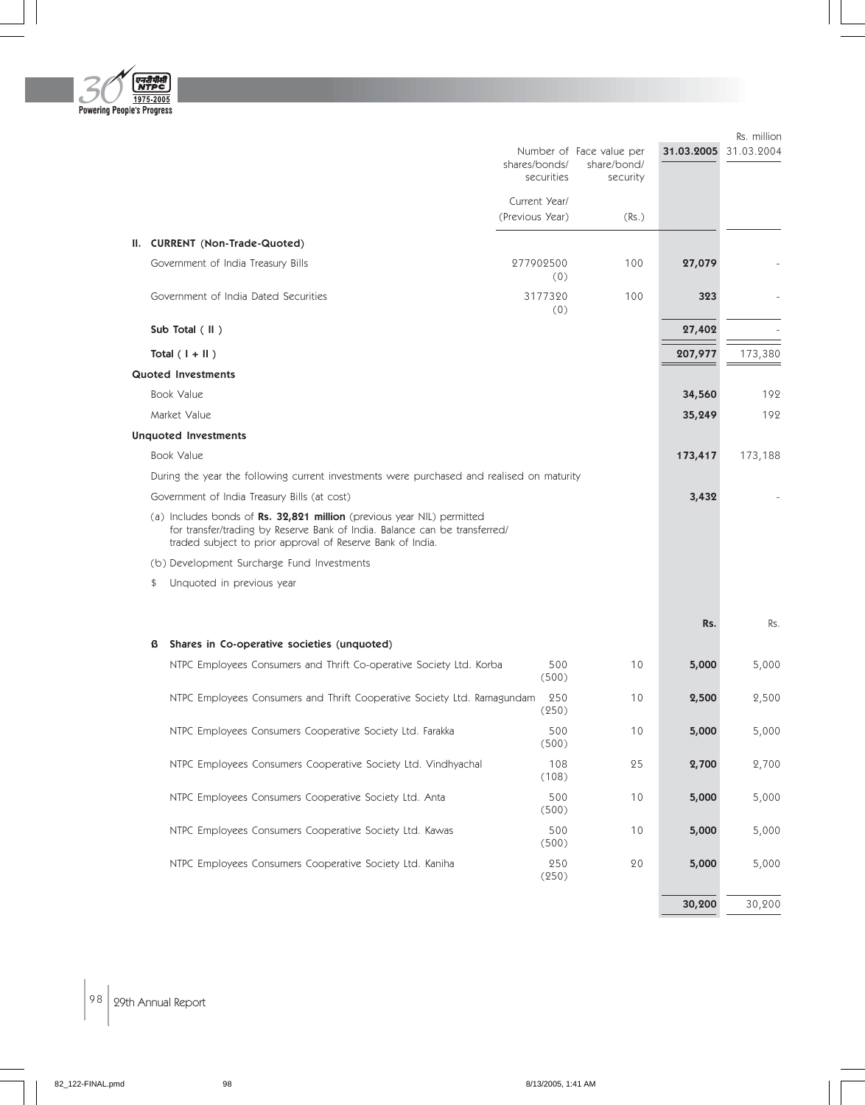

|                                                                                                                                                                                                                           |                                  | Number of Face value per | 31.03.2005 | Rs. million<br>31.03.2004 |
|---------------------------------------------------------------------------------------------------------------------------------------------------------------------------------------------------------------------------|----------------------------------|--------------------------|------------|---------------------------|
|                                                                                                                                                                                                                           | shares/bonds/<br>securities      | share/bond/<br>security  |            |                           |
|                                                                                                                                                                                                                           | Current Year/<br>(Previous Year) | (Rs.)                    |            |                           |
| II. CURRENT (Non-Trade-Quoted)                                                                                                                                                                                            |                                  |                          |            |                           |
| Government of India Treasury Bills                                                                                                                                                                                        | 277902500<br>(0)                 | 100                      | 27,079     |                           |
| Government of India Dated Securities                                                                                                                                                                                      | 3177320<br>(0)                   | 100                      | 323        |                           |
| Sub Total (II)                                                                                                                                                                                                            |                                  |                          | 27,402     |                           |
| Total $(1 +   )$                                                                                                                                                                                                          |                                  |                          | 207,977    | 173,380                   |
| <b>Quoted Investments</b>                                                                                                                                                                                                 |                                  |                          |            |                           |
| <b>Book Value</b>                                                                                                                                                                                                         |                                  |                          | 34,560     | 192                       |
| Market Value                                                                                                                                                                                                              |                                  |                          | 35,249     | 192                       |
| <b>Unquoted Investments</b>                                                                                                                                                                                               |                                  |                          |            |                           |
| <b>Book Value</b>                                                                                                                                                                                                         |                                  |                          | 173,417    | 173,188                   |
| During the year the following current investments were purchased and realised on maturity                                                                                                                                 |                                  |                          |            |                           |
| Government of India Treasury Bills (at cost)                                                                                                                                                                              |                                  |                          | 3,432      |                           |
| (a) Includes bonds of <b>Rs. 32,821 million</b> (previous year NIL) permitted<br>for transfer/trading by Reserve Bank of India. Balance can be transferred/<br>traded subject to prior approval of Reserve Bank of India. |                                  |                          |            |                           |
| (b) Development Surcharge Fund Investments                                                                                                                                                                                |                                  |                          |            |                           |
| Unquoted in previous year<br>\$                                                                                                                                                                                           |                                  |                          |            |                           |
|                                                                                                                                                                                                                           |                                  |                          | Rs.        | Rs.                       |
| Shares in Co-operative societies (unquoted)<br>ß                                                                                                                                                                          |                                  |                          |            |                           |
| NTPC Employees Consumers and Thrift Co-operative Society Ltd. Korba                                                                                                                                                       | 500<br>(500)                     | 10                       | 5,000      | 5,000                     |
| NTPC Employees Consumers and Thrift Cooperative Society Ltd. Ramagundam                                                                                                                                                   | 250<br>(250)                     | 10                       | 2,500      | 2,500                     |
| NTPC Employees Consumers Cooperative Society Ltd. Farakka                                                                                                                                                                 | 500<br>(500)                     | 10                       | 5,000      | 5,000                     |
| NTPC Employees Consumers Cooperative Society Ltd. Vindhyachal                                                                                                                                                             | 108<br>(108)                     | 25                       | 2,700      | 2,700                     |
| NTPC Employees Consumers Cooperative Society Ltd. Anta                                                                                                                                                                    | 500<br>(500)                     | $10$                     | 5,000      | 5,000                     |
| NTPC Employees Consumers Cooperative Society Ltd. Kawas                                                                                                                                                                   | 500<br>(500)                     | 10                       | 5,000      | 5,000                     |
| NTPC Employees Consumers Cooperative Society Ltd. Kaniha                                                                                                                                                                  | 250<br>(250)                     | 20                       | 5,000      | 5,000                     |
|                                                                                                                                                                                                                           |                                  |                          | 30,200     | 30,200                    |

 $\Big|$  98  $\Big|$  29th Annual Report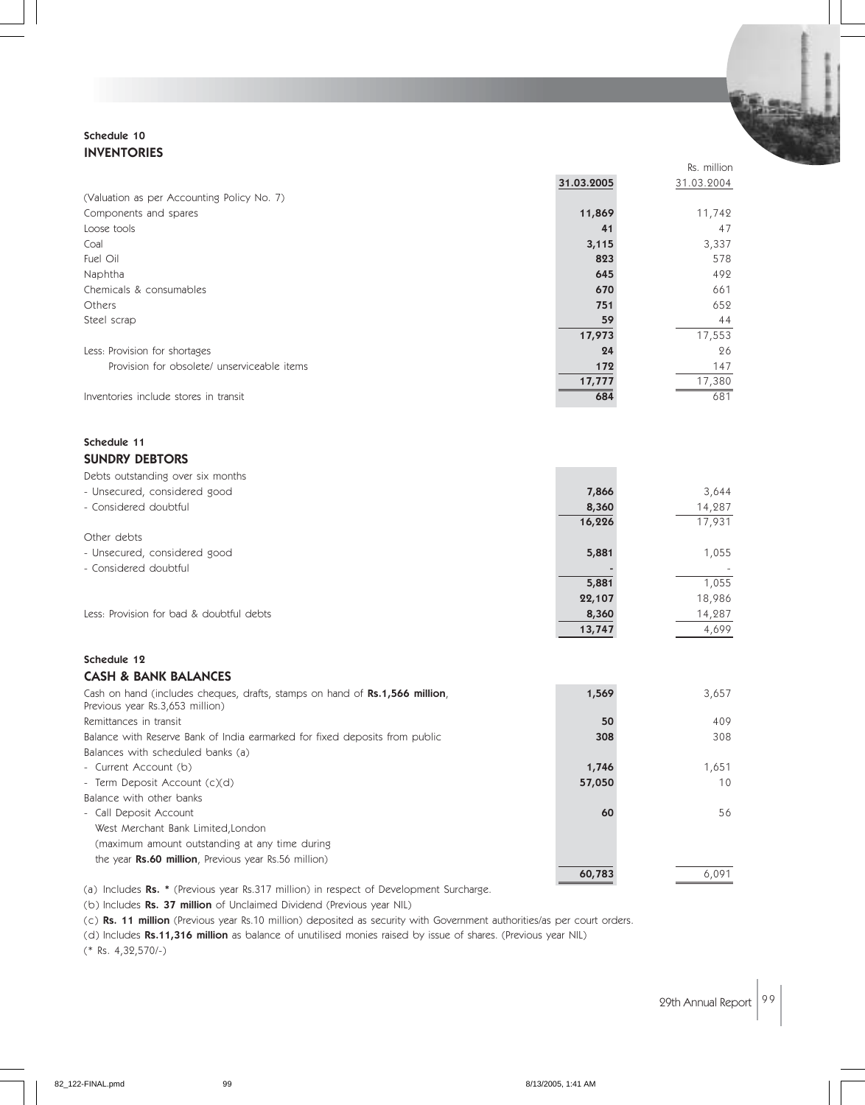#### Schedule 10 INVENTORIES

|                                             |            | Rs. million |
|---------------------------------------------|------------|-------------|
|                                             | 31.03.2005 | 31.03.2004  |
| (Valuation as per Accounting Policy No. 7)  |            |             |
| Components and spares                       | 11,869     | 11,742      |
| Loose tools                                 | 41         | 47          |
| Coal                                        | 3,115      | 3,337       |
| Fuel Oil                                    | 823        | 578         |
| Naphtha                                     | 645        | 492         |
| Chemicals & consumables                     | 670        | 661         |
| Others                                      | 751        | 652         |
| Steel scrap                                 | 59         | 44          |
|                                             | 17,973     | 17,553      |
| Less: Provision for shortages               | 24         | 26          |
| Provision for obsolete/ unserviceable items | 172        | 147         |
|                                             | 17,777     | 17,380      |
| Inventories include stores in transit       | 684        | 681         |

#### Schedule 11 SUNDRY DEBTORS

| - Unsecured, considered good<br>3,644<br>7,866<br>- Considered doubtful<br>14,287<br>8,360<br>17,931<br>16,226<br>Other debts<br>1,055<br>- Unsecured, considered good<br>5,881<br>- Considered doubtful<br>1,055<br>5,881<br>18,986<br>22,107<br>Less: Provision for bad & doubtful debts<br>14,287<br>8,360<br>4,699<br>13,747 | Debts outstanding over six months |  |
|----------------------------------------------------------------------------------------------------------------------------------------------------------------------------------------------------------------------------------------------------------------------------------------------------------------------------------|-----------------------------------|--|
|                                                                                                                                                                                                                                                                                                                                  |                                   |  |
|                                                                                                                                                                                                                                                                                                                                  |                                   |  |
|                                                                                                                                                                                                                                                                                                                                  |                                   |  |
|                                                                                                                                                                                                                                                                                                                                  |                                   |  |
|                                                                                                                                                                                                                                                                                                                                  |                                   |  |
|                                                                                                                                                                                                                                                                                                                                  |                                   |  |
|                                                                                                                                                                                                                                                                                                                                  |                                   |  |
|                                                                                                                                                                                                                                                                                                                                  |                                   |  |
|                                                                                                                                                                                                                                                                                                                                  |                                   |  |
|                                                                                                                                                                                                                                                                                                                                  |                                   |  |

#### Schedule 12 CASH & BANK BALANCES

| Cash on hand (includes cheques, drafts, stamps on hand of Rs.1,566 million,<br>Previous year Rs.3,653 million) | 1,569  | 3,657 |
|----------------------------------------------------------------------------------------------------------------|--------|-------|
| Remittances in transit                                                                                         | 50     | 409   |
| Balance with Reserve Bank of India earmarked for fixed deposits from public                                    | 308    | 308   |
| Balances with scheduled banks (a)                                                                              |        |       |
| - Current Account (b)                                                                                          | 1,746  | 1,651 |
| - Term Deposit Account (c)(d)                                                                                  | 57,050 | 10    |
| Balance with other banks                                                                                       |        |       |
| - Call Deposit Account                                                                                         | 60     | 56    |
| West Merchant Bank Limited, London                                                                             |        |       |
| (maximum amount outstanding at any time during                                                                 |        |       |
| the year <b>Rs.60 million</b> , Previous year Rs.56 million)                                                   |        |       |
|                                                                                                                | 60,783 | 6,091 |

(a) Includes Rs. \* (Previous year Rs.317 million) in respect of Development Surcharge.

(b) Includes Rs. 37 million of Unclaimed Dividend (Previous year NIL)

(c) Rs. 11 million (Previous year Rs.10 million) deposited as security with Government authorities/as per court orders.

(d) Includes Rs.11,316 million as balance of unutilised monies raised by issue of shares. (Previous year NIL)

(\* Rs. 4,32,570/-)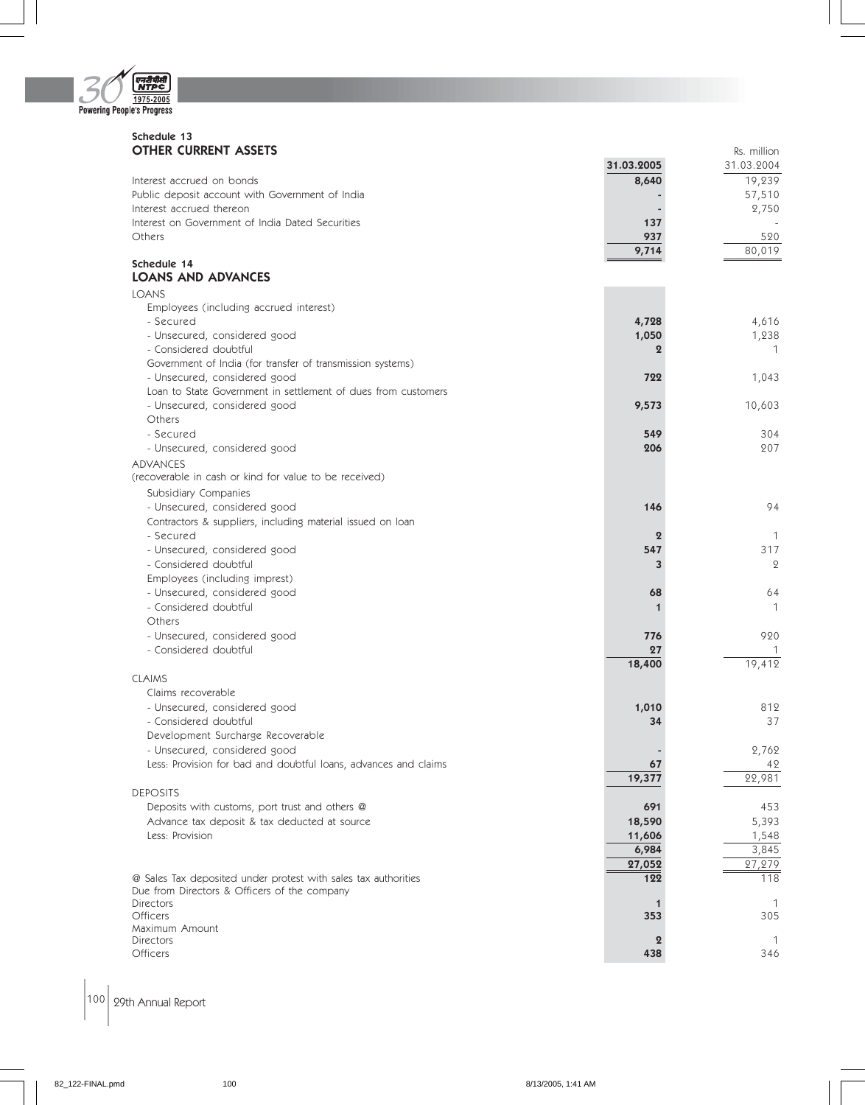

#### Schedule 13 **OTHER CURRENT ASSETS Reserves And Set Allient Structure and Set Allient Structure and Reserves And Rs. million**

|                                                                  | 31.03.2005       | 31.03.2004   |
|------------------------------------------------------------------|------------------|--------------|
| Interest accrued on bonds                                        | 8,640            | 19,239       |
| Public deposit account with Government of India                  |                  | 57,510       |
| Interest accrued thereon                                         |                  | 2,750        |
| Interest on Government of India Dated Securities                 | 137              |              |
| Others                                                           | 937              | 520          |
|                                                                  | 9,714            | 80,019       |
| Schedule 14<br><b>LOANS AND ADVANCES</b>                         |                  |              |
|                                                                  |                  |              |
| <b>LOANS</b>                                                     |                  |              |
| Employees (including accrued interest)<br>- Secured              |                  | 4,616        |
| - Unsecured, considered good                                     | 4,728<br>1,050   | 1,238        |
| - Considered doubtful                                            | $\bf{2}$         | 1            |
| Government of India (for transfer of transmission systems)       |                  |              |
| - Unsecured, considered good                                     | 722              | 1,043        |
| Loan to State Government in settlement of dues from customers    |                  |              |
| - Unsecured, considered good                                     | 9,573            | 10,603       |
| Others                                                           |                  |              |
| - Secured                                                        | 549              | 304          |
| - Unsecured, considered good                                     | 206              | 207          |
| <b>ADVANCES</b>                                                  |                  |              |
| (recoverable in cash or kind for value to be received)           |                  |              |
| Subsidiary Companies                                             |                  |              |
| - Unsecured, considered good                                     | 146              | 94           |
| Contractors & suppliers, including material issued on loan       |                  |              |
| - Secured                                                        | $\boldsymbol{2}$ | 1            |
| - Unsecured, considered good                                     | 547              | 317          |
| - Considered doubtful                                            | 3                | $\mathbf{2}$ |
| Employees (including imprest)                                    |                  |              |
| - Unsecured, considered good                                     | 68               | 64           |
| - Considered doubtful                                            | 1                | 1            |
| Others                                                           |                  |              |
| - Unsecured, considered good                                     | 776              | 920          |
| - Considered doubtful                                            | 27               | 19,412       |
| <b>CLAIMS</b>                                                    | 18,400           |              |
| Claims recoverable                                               |                  |              |
| - Unsecured, considered good                                     | 1,010            | 812          |
| - Considered doubtful                                            | 34               | 37           |
| Development Surcharge Recoverable                                |                  |              |
| - Unsecured, considered good                                     |                  | 2,762        |
| Less: Provision for bad and doubtful loans, advances and claims  | 67               | 42           |
|                                                                  | 19,377           | 22,981       |
| <b>DEPOSITS</b>                                                  |                  |              |
| Deposits with customs, port trust and others @                   | 691              | 453          |
| Advance tax deposit & tax deducted at source                     | 18,590           | 5,393        |
| Less: Provision                                                  | 11,606           | 1,548        |
|                                                                  | 6,984            | 3,845        |
|                                                                  | 27,052           | 27,279       |
| @ Sales Tax deposited under protest with sales tax authorities   | 122              | 118          |
| Due from Directors & Officers of the company<br><b>Directors</b> |                  |              |
| <b>Officers</b>                                                  | 353              | 305          |
| Maximum Amount                                                   |                  |              |
| <b>Directors</b>                                                 | $\boldsymbol{2}$ | -1           |
| Officers                                                         | 438              | 346          |

## $\left| 100 \right|$  29th Annual Report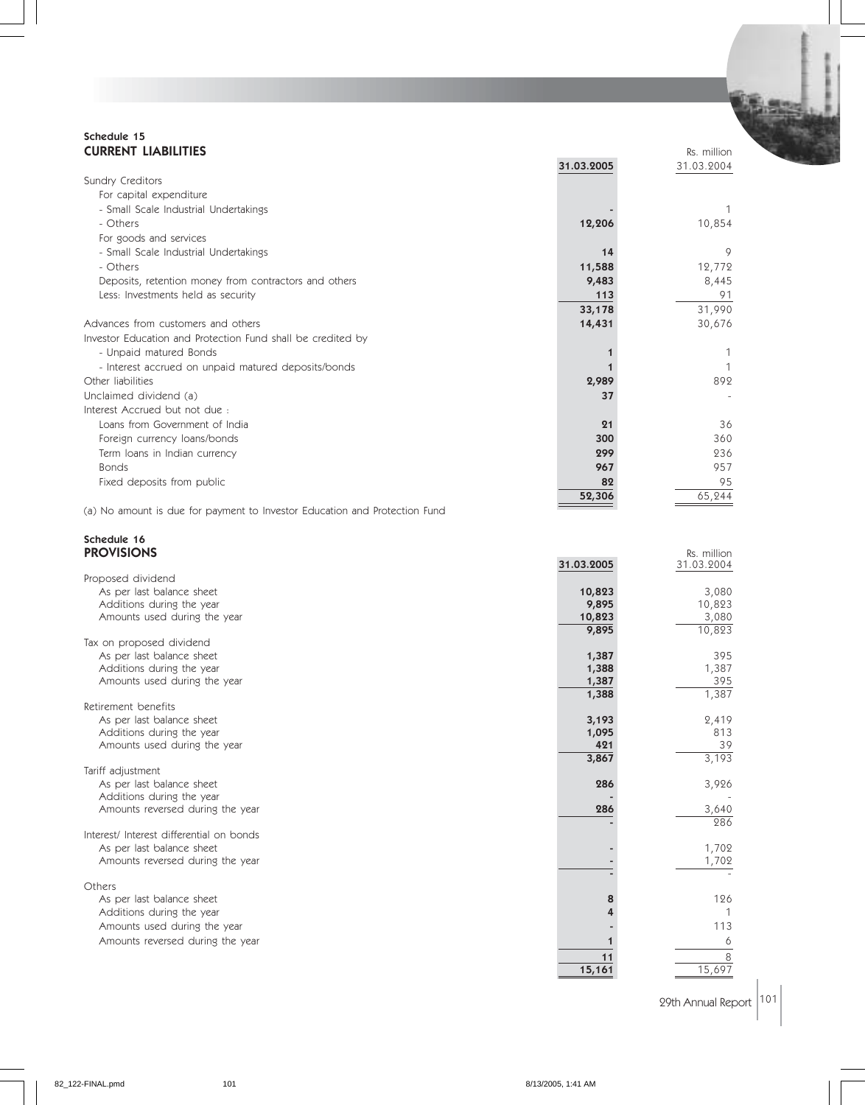#### Schedule 15 **CURRENT LIABILITIES** Reserves and the contract of the contract of the contract of the contract of the contract of the contract of the contract of the contract of the contract of the contract of the contract of the contrac

|                                                             | 31.03.2005 | 31.03.2004 |
|-------------------------------------------------------------|------------|------------|
| Sundry Creditors                                            |            |            |
| For capital expenditure                                     |            |            |
| - Small Scale Industrial Undertakings                       |            |            |
| - Others                                                    | 12,206     | 10,854     |
| For goods and services                                      |            |            |
| - Small Scale Industrial Undertakings                       | 14         | 9          |
| - Others                                                    | 11,588     | 12,772     |
| Deposits, retention money from contractors and others       | 9,483      | 8,445      |
| Less: Investments held as security                          | 113        | 91         |
|                                                             | 33,178     | 31,990     |
| Advances from customers and others                          | 14,431     | 30,676     |
| Investor Education and Protection Fund shall be credited by |            |            |
| - Unpaid matured Bonds                                      |            |            |
| - Interest accrued on unpaid matured deposits/bonds         |            |            |
| Other liabilities                                           | 2,989      | 892        |
| Unclaimed dividend (a)                                      | 37         |            |
| Interest Accrued but not due:                               |            |            |
| Loans from Government of India                              | 21         | 36         |
| Foreign currency loans/bonds                                | 300        | 360        |
| Term Ioans in Indian currency                               | 299        | 236        |
| <b>Bonds</b>                                                | 967        | 957        |
| Fixed deposits from public                                  | 82         | 95         |
|                                                             | 52,306     | 65,244     |

(a) No amount is due for payment to Investor Education and Protection Fund

## Schedule 16

| <b>PROVISIONS</b>                        |              | Rs. million  |
|------------------------------------------|--------------|--------------|
|                                          | 31.03.2005   | 31.03.2004   |
| Proposed dividend                        |              |              |
| As per last balance sheet                | 10,823       | 3,080        |
| Additions during the year                | 9,895        | 10,823       |
| Amounts used during the year             | 10,823       | 3,080        |
|                                          | 9,895        | 10,823       |
| Tax on proposed dividend                 |              |              |
| As per last balance sheet                | 1,387        | 395          |
| Additions during the year                | 1,388        | 1,387        |
| Amounts used during the year             | 1,387        | 395          |
|                                          | 1,388        | 1,387        |
| Retirement benefits                      |              |              |
| As per last balance sheet                | 3,193        | 2,419<br>813 |
| Additions during the year                | 1,095<br>421 | 39           |
| Amounts used during the year             | 3,867        | 3,193        |
| Tariff adjustment                        |              |              |
| As per last balance sheet                | 286          | 3,926        |
| Additions during the year                |              |              |
| Amounts reversed during the year         | 286          | 3,640        |
|                                          |              | 286          |
| Interest/ Interest differential on bonds |              |              |
| As per last balance sheet                |              | 1,702        |
| Amounts reversed during the year         |              | 1,702        |
|                                          |              |              |
| Others                                   |              |              |
| As per last balance sheet                | 8            | 126          |
| Additions during the year                |              |              |
| Amounts used during the year             |              | 113          |
| Amounts reversed during the year         |              | 6            |
|                                          | 11           | 8            |
|                                          | 15,161       | 15,697       |
|                                          |              |              |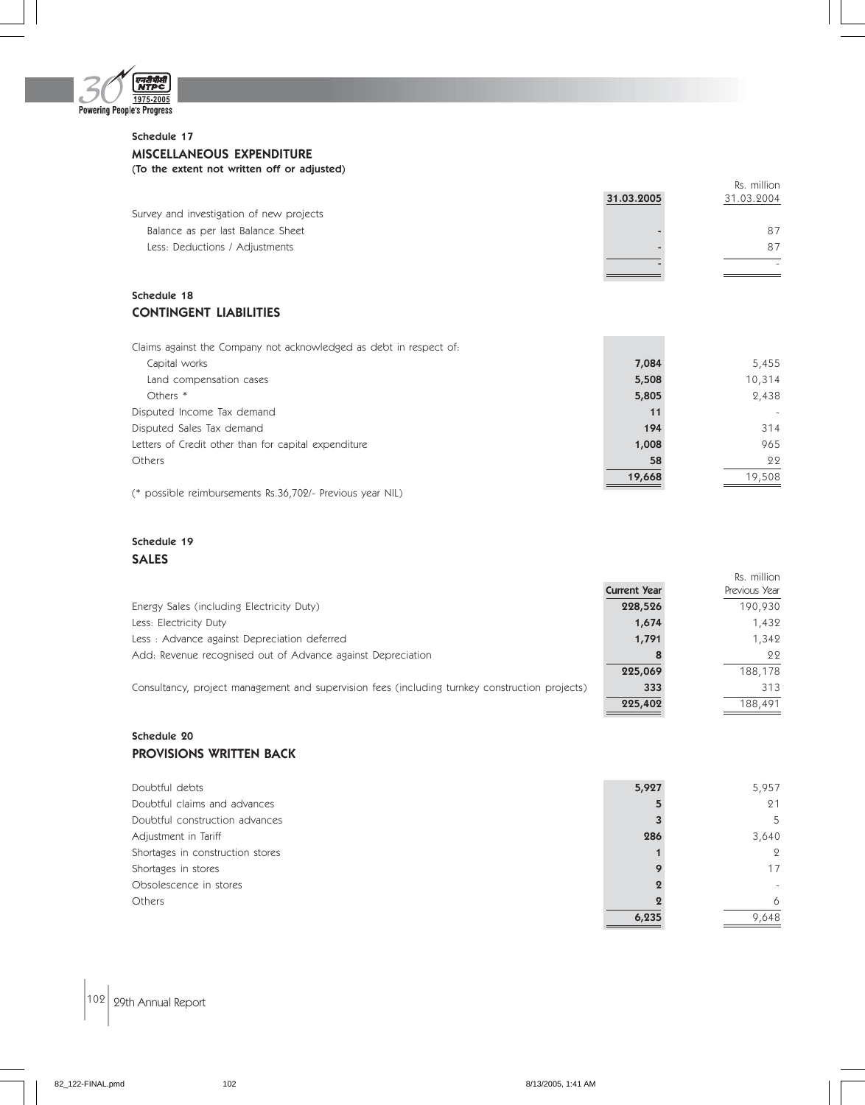

#### Schedule 17 MISCELLANEOUS EXPENDITURE (To the extent not written off or adjusted)

|                                          | 31.03.2005 | Rs. million<br>31.03.2004 |
|------------------------------------------|------------|---------------------------|
| Survey and investigation of new projects |            |                           |
| Balance as per last Balance Sheet        |            | 87                        |
| Less: Deductions / Adjustments           |            | 87                        |
|                                          |            |                           |
|                                          |            |                           |

### Schedule 18 CONTINGENT LIABILITIES

| Claims against the Company not acknowledged as debt in respect of: |        |        |
|--------------------------------------------------------------------|--------|--------|
| Capital works                                                      | 7,084  | 5,455  |
| Land compensation cases                                            | 5,508  | 10,314 |
| Others *                                                           | 5,805  | 2,438  |
| Disputed Income Tax demand                                         | 11     |        |
| Disputed Sales Tax demand                                          | 194    | 314    |
| Letters of Credit other than for capital expenditure               | 1,008  | 965    |
| Others                                                             | 58     | 22     |
|                                                                    | 19,668 | 19.508 |

(\* possible reimbursements Rs.36,702/- Previous year NIL)

## Schedule 19 SALES

|                                                                                                |                     | Rs. million   |
|------------------------------------------------------------------------------------------------|---------------------|---------------|
|                                                                                                | <b>Current Year</b> | Previous Year |
| Energy Sales (including Electricity Duty)                                                      | 228,526             | 190,930       |
| Less: Electricity Duty                                                                         | 1,674               | 1,432         |
| Less: Advance against Depreciation deferred                                                    | 1,791               | 1.342         |
| Add: Revenue recognised out of Advance against Depreciation                                    |                     | 22            |
|                                                                                                | 225,069             | 188,178       |
| Consultancy, project management and supervision fees (including turnkey construction projects) | 333                 | 313           |
|                                                                                                | 225,402             | 188,491       |

## Schedule 20 PROVISIONS WRITTEN BACK

| Doubtful debts                   | 5,927 | 5,957 |
|----------------------------------|-------|-------|
| Doubtful claims and advances     |       | 21    |
| Doubtful construction advances   |       | 5     |
| Adjustment in Tariff             | 286   | 3,640 |
| Shortages in construction stores |       | 9     |
| Shortages in stores              |       | 17    |
| Obsolescence in stores           |       |       |
| Others                           |       | 6     |
|                                  | 6,235 | 9,648 |

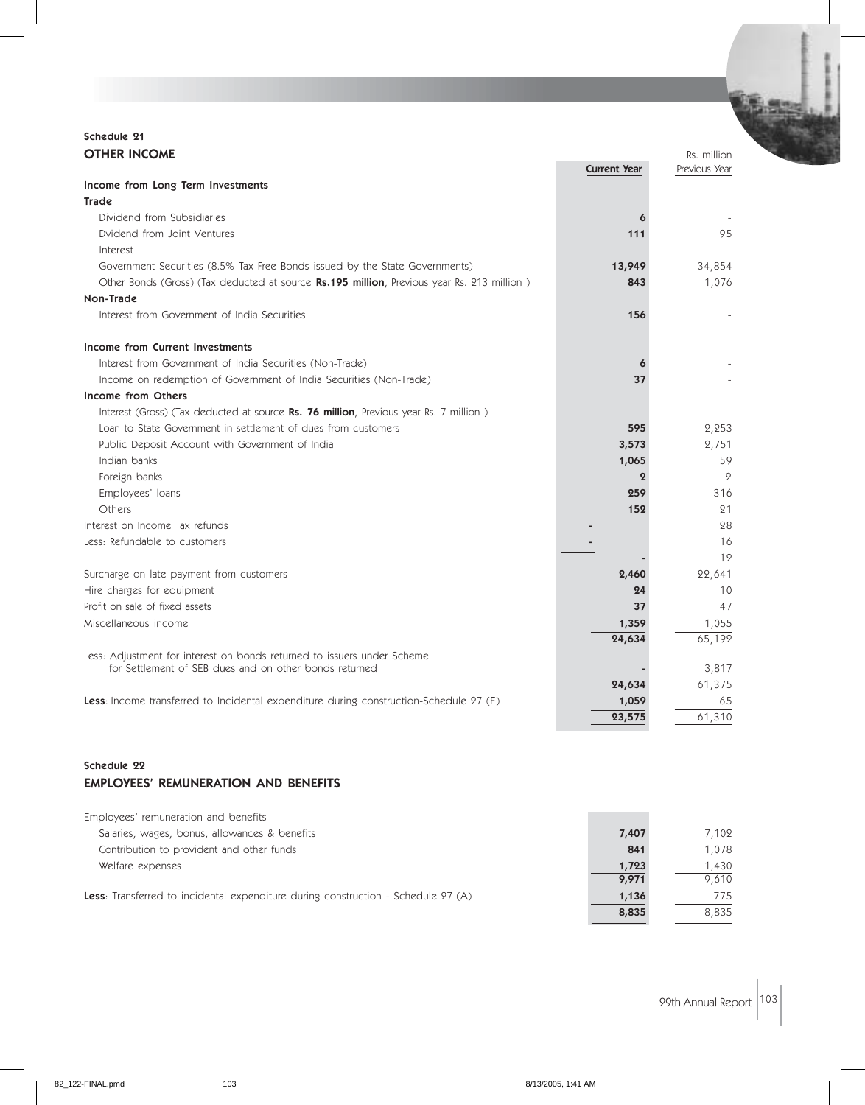## Schedule 21 **OTHER INCOME** Rs. million

|                                                                                            | <b>Current Year</b> | Previous Year  |
|--------------------------------------------------------------------------------------------|---------------------|----------------|
| Income from Long Term Investments                                                          |                     |                |
| <b>Trade</b>                                                                               |                     |                |
| Dividend from Subsidiaries                                                                 | 6                   |                |
| Dvidend from Joint Ventures                                                                | 111                 | 95             |
| Interest                                                                                   |                     |                |
| Government Securities (8.5% Tax Free Bonds issued by the State Governments)                | 13,949              | 34,854         |
| Other Bonds (Gross) (Tax deducted at source Rs.195 million, Previous year Rs. 213 million) | 843                 | 1,076          |
| Non-Trade                                                                                  |                     |                |
| Interest from Government of India Securities                                               | 156                 |                |
| Income from Current Investments                                                            |                     |                |
| Interest from Government of India Securities (Non-Trade)                                   | 6                   |                |
| Income on redemption of Government of India Securities (Non-Trade)                         | 37                  |                |
| Income from Others                                                                         |                     |                |
| Interest (Gross) (Tax deducted at source Rs. 76 million, Previous year Rs. 7 million)      |                     |                |
| Loan to State Government in settlement of dues from customers                              | 595                 | 2,253          |
| Public Deposit Account with Government of India                                            | 3,573               | 2,751          |
| Indian banks                                                                               | 1,065               | 59             |
| Foreign banks                                                                              | $\mathbf{2}$        | $\overline{2}$ |
| Employees' loans                                                                           | 259                 | 316            |
| Others                                                                                     | 152                 | 21             |
| Interest on Income Tax refunds                                                             |                     | 28             |
| Less: Refundable to customers                                                              |                     | 16             |
|                                                                                            |                     | 12             |
| Surcharge on late payment from customers                                                   | 2,460               | 22,641         |
| Hire charges for equipment                                                                 | 24                  | 10             |
| Profit on sale of fixed assets                                                             | 37                  | 47             |
| Miscellaneous income                                                                       | 1,359               | 1,055          |
|                                                                                            | 24,634              | 65,192         |
| Less: Adjustment for interest on bonds returned to issuers under Scheme                    |                     |                |
| for Settlement of SEB dues and on other bonds returned                                     |                     | 3,817          |
|                                                                                            | 24,634              | 61,375         |
| Less: Income transferred to Incidental expenditure during construction-Schedule 27 (E)     | 1,059               | 65             |
|                                                                                            | 23,575              | 61,310         |

#### Schedule 22 EMPLOYEES' REMUNERATION AND BENEFITS

| 7,407          | 7.102          |
|----------------|----------------|
| 841            | 1,078          |
| 1,723<br>9,971 | 1,430<br>9,610 |
| 1,136<br>8,835 | 775<br>8,835   |
|                |                |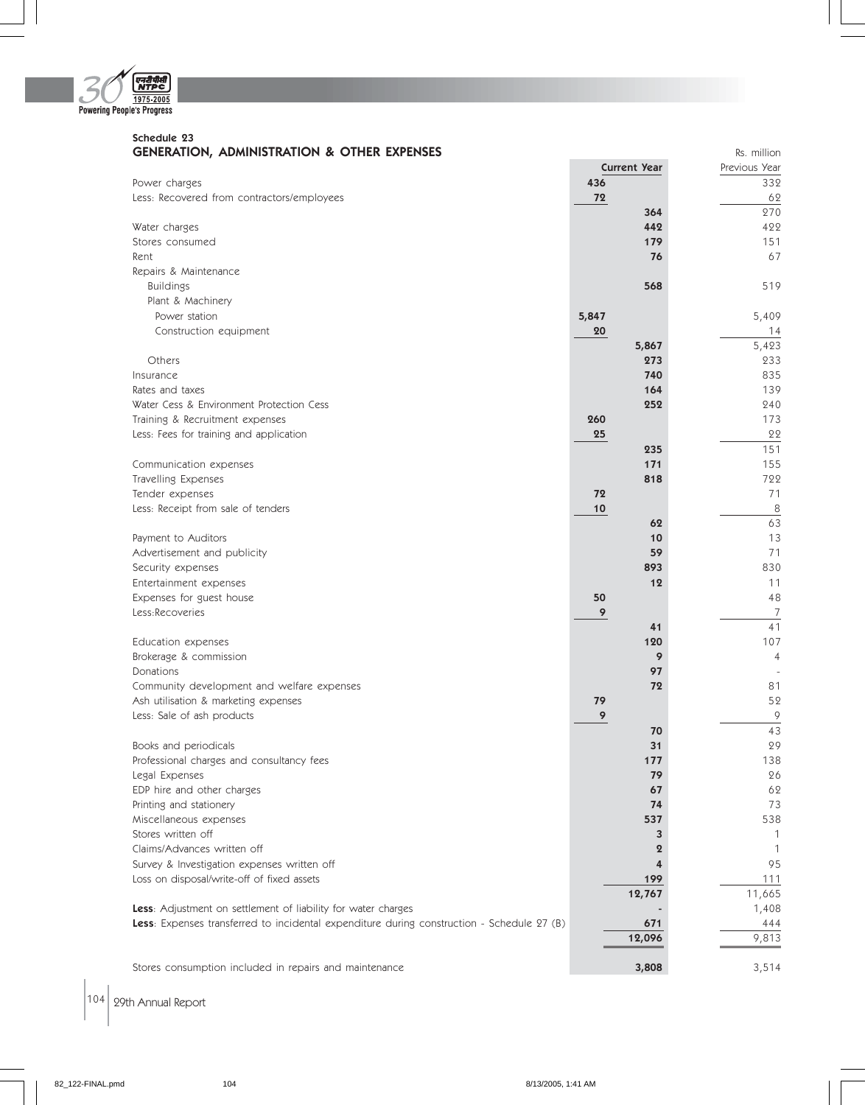

#### Schedule 23 **GENERATION, ADMINISTRATION & OTHER EXPENSES Reserves ADMINISTRATION & OTHER EXPENSES**

|                                                                                            |       | <b>Current Year</b> | Previous Year   |
|--------------------------------------------------------------------------------------------|-------|---------------------|-----------------|
| Power charges                                                                              | 436   |                     | 332             |
| Less: Recovered from contractors/employees                                                 | 72    |                     | 62              |
|                                                                                            |       | 364                 | 270             |
| Water charges                                                                              |       | 442                 | 422             |
| Stores consumed                                                                            |       | 179                 | 151             |
| Rent                                                                                       |       | 76                  | 67              |
| Repairs & Maintenance                                                                      |       |                     |                 |
| <b>Buildings</b>                                                                           |       | 568                 | 519             |
| Plant & Machinery                                                                          |       |                     |                 |
| Power station                                                                              | 5,847 |                     | 5,409           |
| Construction equipment                                                                     | 20    |                     | 14              |
|                                                                                            |       | 5,867               | 5,423           |
| Others                                                                                     |       | 273                 | 233             |
| Insurance                                                                                  |       | 740                 | 835             |
| Rates and taxes                                                                            |       | 164                 | 139             |
| Water Cess & Environment Protection Cess                                                   |       | 252                 | 240             |
| Training & Recruitment expenses                                                            | 260   |                     | 173             |
| Less: Fees for training and application                                                    | 25    |                     | 22              |
|                                                                                            |       | 235                 | 151             |
| Communication expenses                                                                     |       | 171                 | 155             |
| Travelling Expenses                                                                        |       | 818                 | 722             |
| Tender expenses                                                                            | 72    |                     | 71              |
| Less: Receipt from sale of tenders                                                         | 10    |                     | $\overline{8}$  |
|                                                                                            |       | 62                  | 63              |
| Payment to Auditors                                                                        |       | 10                  | 13              |
| Advertisement and publicity                                                                |       | 59                  | 71              |
| Security expenses                                                                          |       | 893                 | 830             |
| Entertainment expenses                                                                     |       | 12                  | 11              |
| Expenses for guest house                                                                   | 50    |                     | 48              |
| Less:Recoveries                                                                            | 9     |                     | $\overline{7}$  |
|                                                                                            |       | 41                  | 41              |
| Education expenses                                                                         |       | 120                 | 107             |
| Brokerage & commission                                                                     |       | 9                   | $\overline{4}$  |
| Donations                                                                                  |       | 97                  |                 |
| Community development and welfare expenses                                                 |       | 72                  | 81              |
| Ash utilisation & marketing expenses                                                       | 79    |                     | 52              |
| Less: Sale of ash products                                                                 | 9     |                     | 9               |
|                                                                                            |       | 70                  | $\overline{43}$ |
| Books and periodicals                                                                      |       | 31                  | 29              |
| Professional charges and consultancy fees                                                  |       | 177                 | 138             |
| Legal Expenses                                                                             |       | 79                  | 26              |
| EDP hire and other charges                                                                 |       | 67                  | 62              |
| Printing and stationery                                                                    |       | 74                  | 73              |
| Miscellaneous expenses                                                                     |       | 537                 | 538             |
| Stores written off                                                                         |       | 3                   | 1               |
| Claims/Advances written off                                                                |       | $\boldsymbol{2}$    | $\overline{1}$  |
| Survey & Investigation expenses written off                                                |       | 4                   | 95              |
| Loss on disposal/write-off of fixed assets                                                 |       | 199                 | 111             |
|                                                                                            |       | 12,767              | 11,665          |
| Less: Adjustment on settlement of liability for water charges                              |       |                     | 1,408           |
| Less: Expenses transferred to incidental expenditure during construction - Schedule 27 (B) |       | 671                 | 444             |
|                                                                                            |       | 12,096              | 9,813           |
|                                                                                            |       |                     |                 |
| Stores consumption included in repairs and maintenance                                     |       | 3,808               | 3,514           |

 $\left| 104 \right|$  29th Annual Report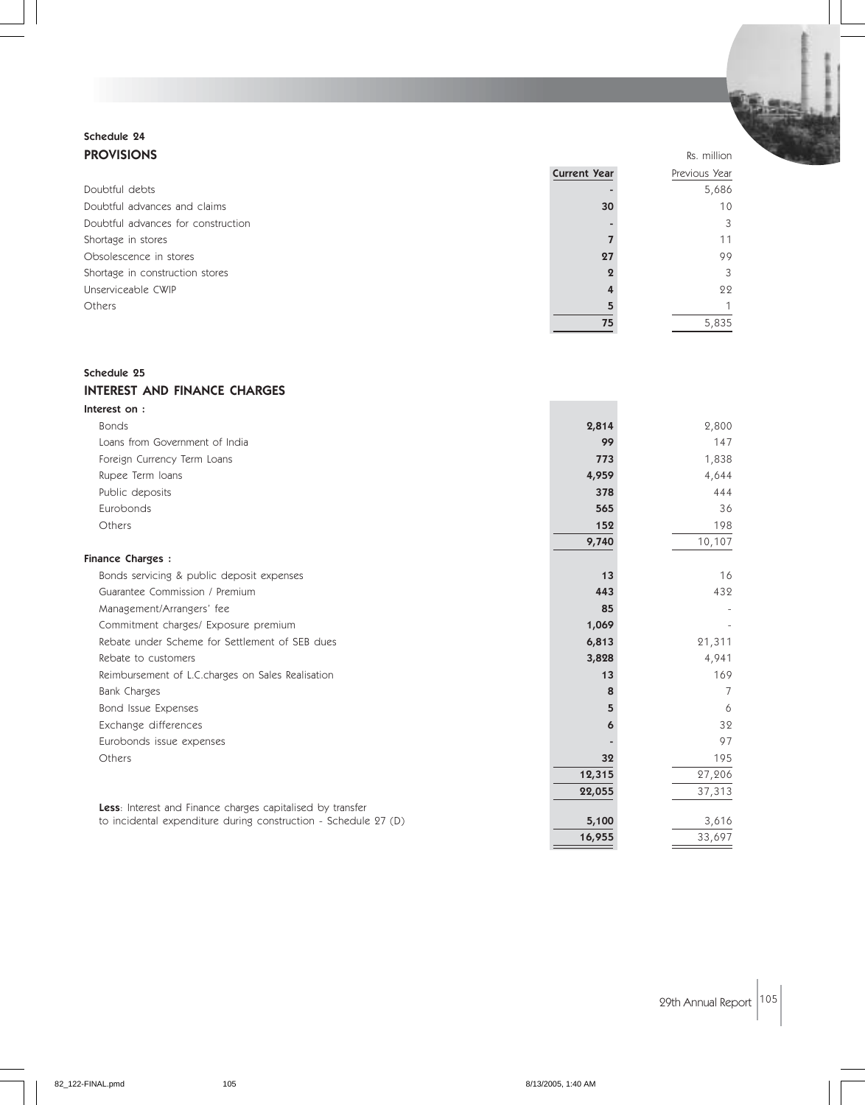## Schedule 24 **PROVISIONS** Rs. million

|                                    | <b>Current Year</b> | Previous Year   |
|------------------------------------|---------------------|-----------------|
| Doubtful debts                     |                     | 5,686           |
| Doubtful advances and claims       | 30                  | 10 <sup>°</sup> |
| Doubtful advances for construction |                     | 3               |
| Shortage in stores                 |                     | 11              |
| Obsolescence in stores             | 27                  | 99              |
| Shortage in construction stores    |                     | 3               |
| Unserviceable CWIP                 |                     | 22              |
| Others                             |                     |                 |
|                                    | 75                  | 5,835           |

#### Schedule 25

#### INTEREST AND FINANCE CHARGES

| Interest on:                                                    |        |        |
|-----------------------------------------------------------------|--------|--------|
| <b>Bonds</b>                                                    | 2,814  | 2,800  |
| Loans from Government of India                                  | 99     | 147    |
| Foreign Currency Term Loans                                     | 773    | 1,838  |
| Rupee Term Ioans                                                | 4,959  | 4,644  |
| Public deposits                                                 | 378    | 444    |
| Eurobonds                                                       | 565    | 36     |
| Others                                                          | 152    | 198    |
|                                                                 | 9,740  | 10,107 |
| <b>Finance Charges:</b>                                         |        |        |
| Bonds servicing & public deposit expenses                       | 13     | 16     |
| Guarantee Commission / Premium                                  | 443    | 432    |
| Management/Arrangers' fee                                       | 85     |        |
| Commitment charges/ Exposure premium                            | 1,069  |        |
| Rebate under Scheme for Settlement of SEB dues                  | 6,813  | 21,311 |
| Rebate to customers                                             | 3,828  | 4,941  |
| Reimbursement of L.C.charges on Sales Realisation               | 13     | 169    |
| <b>Bank Charges</b>                                             | 8      | 7      |
| Bond Issue Expenses                                             | 5      | 6      |
| Exchange differences                                            | 6      | 32     |
| Eurobonds issue expenses                                        |        | 97     |
| Others                                                          | 32     | 195    |
|                                                                 | 12,315 | 27,206 |
|                                                                 | 22,055 | 37,313 |
| Less: Interest and Finance charges capitalised by transfer      |        |        |
| to incidental expenditure during construction - Schedule 27 (D) | 5,100  | 3,616  |
|                                                                 | 16,955 | 33,697 |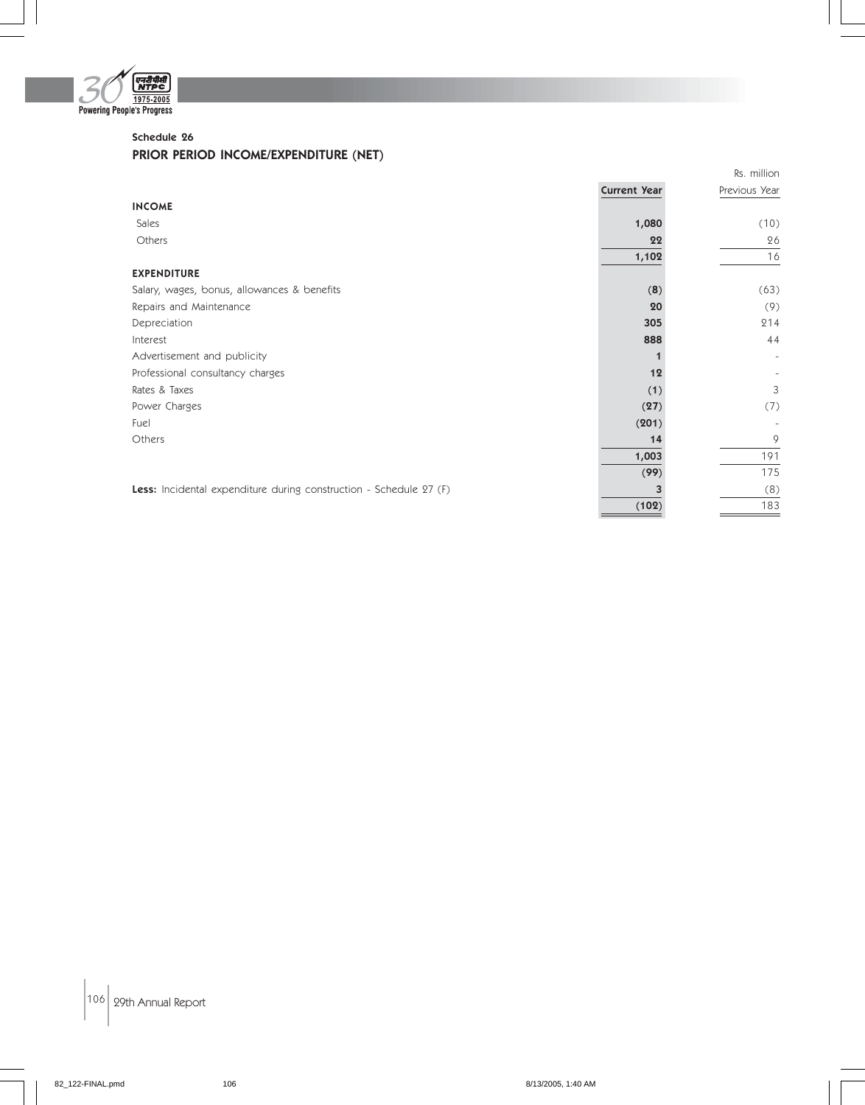

## Schedule 26

## PRIOR PERIOD INCOME/EXPENDITURE (NET)

|                                                                    |                     | Rs. million   |
|--------------------------------------------------------------------|---------------------|---------------|
|                                                                    | <b>Current Year</b> | Previous Year |
| <b>INCOME</b>                                                      |                     |               |
| Sales                                                              | 1,080               | (10)          |
| Others                                                             | 22                  | 26            |
|                                                                    | 1,102               | 16            |
| <b>EXPENDITURE</b>                                                 |                     |               |
| Salary, wages, bonus, allowances & benefits                        | (8)                 | (63)          |
| Repairs and Maintenance                                            | 20                  | (9)           |
| Depreciation                                                       | 305                 | 214           |
| Interest                                                           | 888                 | 44            |
| Advertisement and publicity                                        |                     |               |
| Professional consultancy charges                                   | 12                  |               |
| Rates & Taxes                                                      | (1)                 | 3             |
| Power Charges                                                      | (27)                | (7)           |
| Fuel                                                               | (201)               |               |
| Others                                                             | 14                  | 9             |
|                                                                    | 1,003               | 191           |
|                                                                    | (99)                | 175           |
| Less: Incidental expenditure during construction - Schedule 27 (F) |                     | (8)           |
|                                                                    | (102)               | 183           |

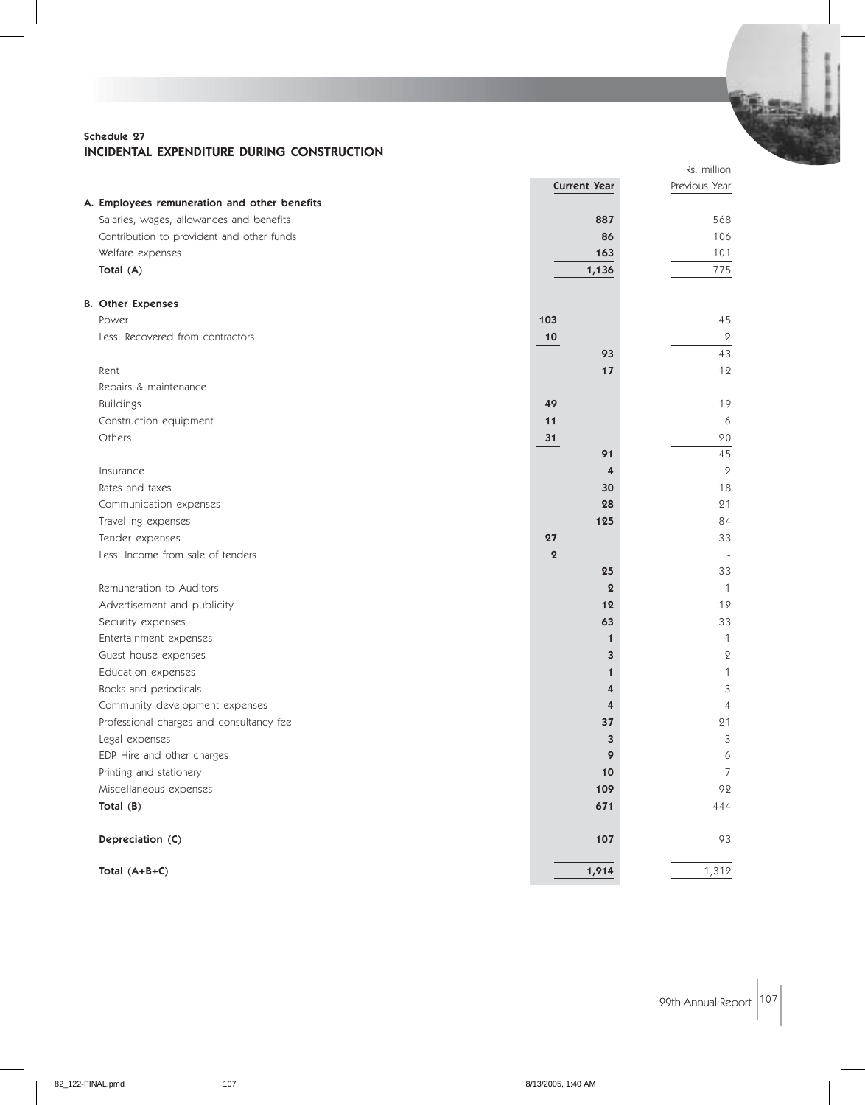#### Schedule 27 INCIDENTAL EXPENDITURE DURING CONSTRUCTION

|                                              |                     |                  | Rs. million    |
|----------------------------------------------|---------------------|------------------|----------------|
|                                              | <b>Current Year</b> |                  | Previous Year  |
| A. Employees remuneration and other benefits |                     |                  |                |
| Salaries, wages, allowances and benefits     | 887                 |                  | 568            |
| Contribution to provident and other funds    | 86                  |                  | 106            |
| Welfare expenses                             | 163                 |                  | 101            |
| Total (A)                                    | 1,136               |                  | 775            |
| <b>B. Other Expenses</b>                     |                     |                  |                |
| Power                                        | 103                 |                  | 45             |
| Less: Recovered from contractors             | 10                  |                  | $\overline{2}$ |
|                                              | 93                  |                  | 43             |
| Rent                                         | 17                  |                  | 12             |
| Repairs & maintenance                        |                     |                  |                |
| <b>Buildings</b>                             | 49                  |                  | 19             |
| Construction equipment                       | 11                  |                  | 6              |
| Others                                       | 31                  |                  | 20             |
|                                              | 91                  |                  | 45             |
| Insurance                                    |                     | 4                | $\mathbf{2}$   |
| Rates and taxes                              | 30                  |                  | 18             |
| Communication expenses                       | 28                  |                  | 21             |
| Travelling expenses                          | 125                 |                  | 84             |
| Tender expenses                              | 27                  |                  | 33             |
| Less: Income from sale of tenders            | $\boldsymbol{2}$    |                  |                |
|                                              | 25                  |                  | 33             |
| Remuneration to Auditors                     |                     | $\boldsymbol{2}$ | $\mathbf{1}$   |
| Advertisement and publicity                  | 12                  |                  | 12             |
| Security expenses                            | 63                  |                  | 33             |
| Entertainment expenses                       |                     | $\mathbf{1}$     | $\mathbf{1}$   |
| Guest house expenses                         |                     | 3                | $\mathbf{2}$   |
| Education expenses                           |                     | 1                | $\mathbf{1}$   |
| Books and periodicals                        |                     | 4                | 3              |
| Community development expenses               |                     | 4                | $\overline{4}$ |
| Professional charges and consultancy fee     | 37                  |                  | 21             |
| Legal expenses                               |                     | 3                | 3              |
| EDP Hire and other charges                   |                     | 9                | 6              |
| Printing and stationery                      | $10$                |                  | $\overline{7}$ |
| Miscellaneous expenses                       | 109                 |                  | 92             |
| Total (B)                                    | 671                 |                  | 444            |
| Depreciation (C)                             | 107                 |                  | 93             |
| Total (A+B+C)                                | 1,914               |                  | 1,312          |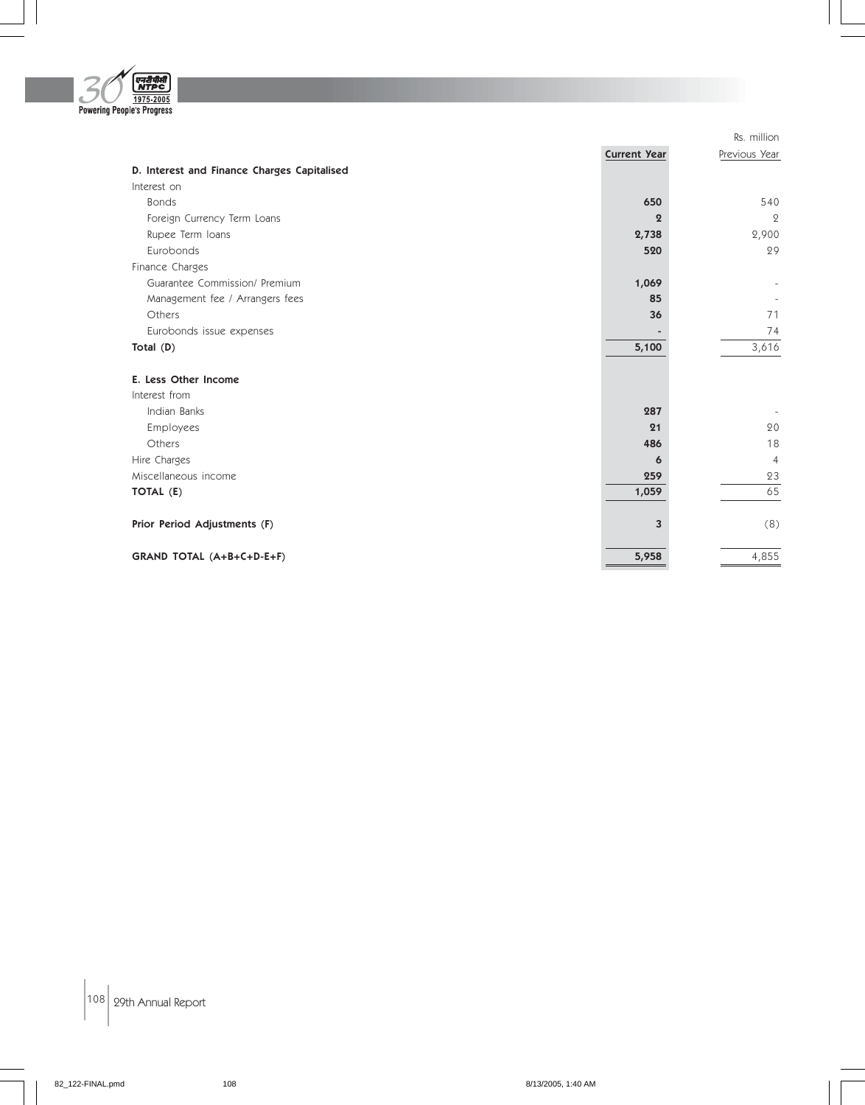

|                                             |                     | Rs. million    |
|---------------------------------------------|---------------------|----------------|
|                                             | <b>Current Year</b> | Previous Year  |
| D. Interest and Finance Charges Capitalised |                     |                |
| Interest on                                 |                     |                |
| <b>Bonds</b>                                | 650                 | 540            |
| Foreign Currency Term Loans                 | 9                   | $\overline{2}$ |
| Rupee Term Ioans                            | 2,738               | 2,900          |
| Eurobonds                                   | 520                 | 29             |
| Finance Charges                             |                     |                |
| Guarantee Commission/ Premium               | 1,069               |                |
| Management fee / Arrangers fees             | 85                  |                |
| Others                                      | 36                  | 71             |
| Eurobonds issue expenses                    |                     | 74             |
| Total (D)                                   | 5,100               | 3,616          |
| E. Less Other Income                        |                     |                |
| Interest from                               |                     |                |
| Indian Banks                                | 287                 |                |
| Employees                                   | 21                  | 20             |
| Others                                      | 486                 | 18             |
| Hire Charges                                | 6                   | $\overline{4}$ |
| Miscellaneous income                        | 259                 | 23             |
| TOTAL (E)                                   | 1,059               | 65             |
| Prior Period Adjustments (F)                | $\overline{3}$      | (8)            |
| GRAND TOTAL (A+B+C+D-E+F)                   | 5,958               | 4,855          |

 $\left| 108 \right|$  29th Annual Report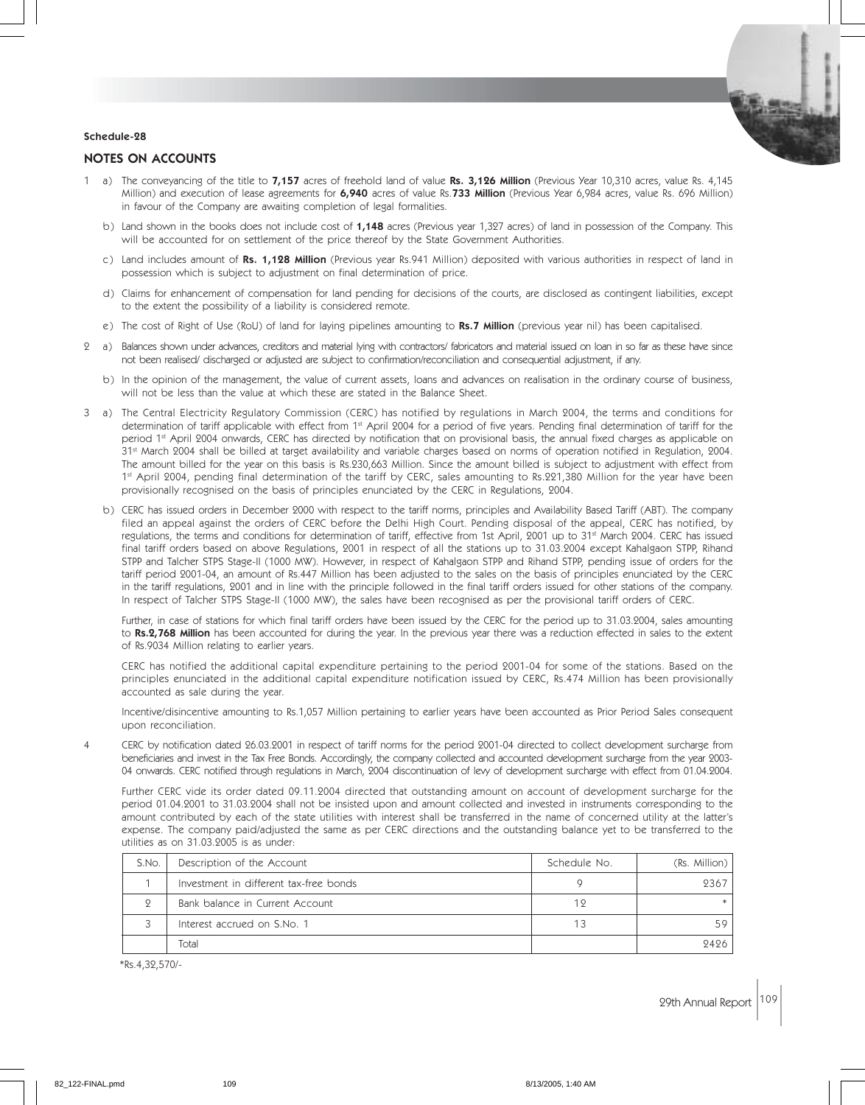#### Schedule-28

#### NOTES ON ACCOUNTS

- 1 a) The conveyancing of the title to 7,157 acres of freehold land of value Rs. 3,126 Million (Previous Year 10,310 acres, value Rs. 4,145 Million) and execution of lease agreements for 6,940 acres of value Rs.733 Million (Previous Year 6,984 acres, value Rs. 696 Million) in favour of the Company are awaiting completion of legal formalities.
	- b) Land shown in the books does not include cost of 1,148 acres (Previous year 1,327 acres) of land in possession of the Company. This will be accounted for on settlement of the price thereof by the State Government Authorities.
	- c) Land includes amount of Rs. 1,128 Million (Previous year Rs.941 Million) deposited with various authorities in respect of land in possession which is subject to adjustment on final determination of price.
	- d) Claims for enhancement of compensation for land pending for decisions of the courts, are disclosed as contingent liabilities, except to the extent the possibility of a liability is considered remote.
	- e) The cost of Right of Use (RoU) of land for laying pipelines amounting to Rs.7 Million (previous year nil) has been capitalised.
- 2 a) Balances shown under advances, creditors and material lying with contractors/ fabricators and material issued on loan in so far as these have since not been realised/ discharged or adjusted are subject to confirmation/reconciliation and consequential adjustment, if any.
	- b) In the opinion of the management, the value of current assets, loans and advances on realisation in the ordinary course of business, will not be less than the value at which these are stated in the Balance Sheet.
- 3 a) The Central Electricity Regulatory Commission (CERC) has notified by regulations in March 2004, the terms and conditions for determination of tariff applicable with effect from 1<sup>st</sup> April 2004 for a period of five years. Pending final determination of tariff for the period 1<sup>st</sup> April 2004 onwards, CERC has directed by notification that on provisional basis, the annual fixed charges as applicable on 31<sup>st</sup> March 2004 shall be billed at target availability and variable charges based on norms of operation notified in Regulation, 2004. The amount billed for the year on this basis is Rs.230,663 Million. Since the amount billed is subject to adjustment with effect from 1st April 2004, pending final determination of the tariff by CERC, sales amounting to Rs.221,380 Million for the year have been provisionally recognised on the basis of principles enunciated by the CERC in Regulations, 2004.
	- b) CERC has issued orders in December 2000 with respect to the tariff norms, principles and Availability Based Tariff (ABT). The company filed an appeal against the orders of CERC before the Delhi High Court. Pending disposal of the appeal, CERC has notified, by regulations, the terms and conditions for determination of tariff, effective from 1st April, 2001 up to 31st March 2004. CERC has issued final tariff orders based on above Regulations, 2001 in respect of all the stations up to 31.03.2004 except Kahalgaon STPP, Rihand STPP and Talcher STPS Stage-II (1000 MW). However, in respect of Kahalgaon STPP and Rihand STPP, pending issue of orders for the tariff period 2001-04, an amount of Rs.447 Million has been adjusted to the sales on the basis of principles enunciated by the CERC in the tariff regulations, 2001 and in line with the principle followed in the final tariff orders issued for other stations of the company. In respect of Talcher STPS Stage-II (1000 MW), the sales have been recognised as per the provisional tariff orders of CERC.

Further, in case of stations for which final tariff orders have been issued by the CERC for the period up to 31.03.2004, sales amounting to Rs.2,768 Million has been accounted for during the year. In the previous year there was a reduction effected in sales to the extent of Rs.9034 Million relating to earlier years.

CERC has notified the additional capital expenditure pertaining to the period 2001-04 for some of the stations. Based on the principles enunciated in the additional capital expenditure notification issued by CERC, Rs.474 Million has been provisionally accounted as sale during the year.

Incentive/disincentive amounting to Rs.1,057 Million pertaining to earlier years have been accounted as Prior Period Sales consequent upon reconciliation.

4 CERC by notification dated 26.03.2001 in respect of tariff norms for the period 2001-04 directed to collect development surcharge from beneficiaries and invest in the Tax Free Bonds. Accordingly, the company collected and accounted development surcharge from the year 2003- 04 onwards. CERC notified through regulations in March, 2004 discontinuation of levy of development surcharge with effect from 01.04.2004.

Further CERC vide its order dated 09.11.2004 directed that outstanding amount on account of development surcharge for the period 01.04.2001 to 31.03.2004 shall not be insisted upon and amount collected and invested in instruments corresponding to the amount contributed by each of the state utilities with interest shall be transferred in the name of concerned utility at the latter's expense. The company paid/adjusted the same as per CERC directions and the outstanding balance yet to be transferred to the utilities as on 31.03.2005 is as under:

| S.No. | Description of the Account             | Schedule No. | (Rs. Million) |
|-------|----------------------------------------|--------------|---------------|
|       | Investment in different tax-free bonds |              | 2367          |
|       | Bank balance in Current Account        | 19           |               |
|       | Interest accrued on S.No. 1            |              |               |
|       | Total                                  |              | 9496          |

\*Rs.4,32,570/-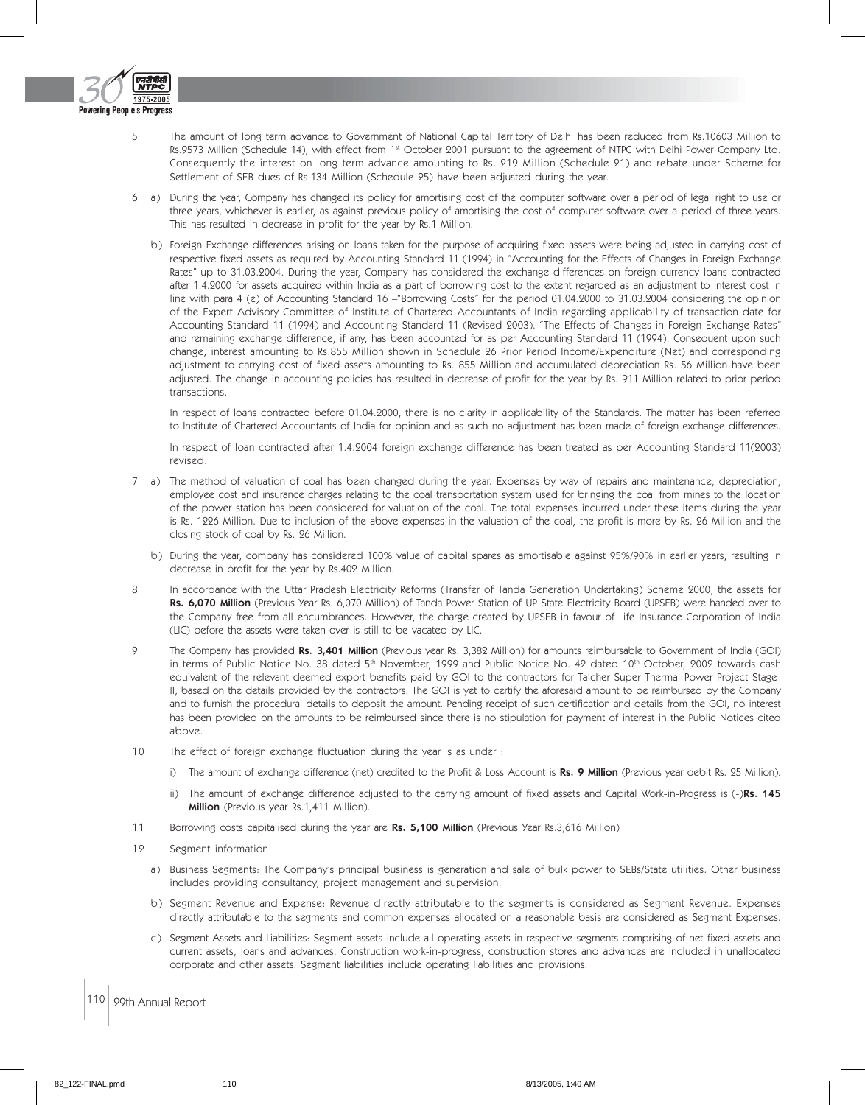

- 5 The amount of long term advance to Government of National Capital Territory of Delhi has been reduced from Rs.10603 Million to Rs.9573 Million (Schedule 14), with effect from 1st October 2001 pursuant to the agreement of NTPC with Delhi Power Company Ltd. Consequently the interest on long term advance amounting to Rs. 219 Million (Schedule 21) and rebate under Scheme for Settlement of SEB dues of Rs.134 Million (Schedule 25) have been adjusted during the year.
- 6 a) During the year, Company has changed its policy for amortising cost of the computer software over a period of legal right to use or three years, whichever is earlier, as against previous policy of amortising the cost of computer software over a period of three years. This has resulted in decrease in profit for the year by Rs.1 Million.
	- b) Foreign Exchange differences arising on loans taken for the purpose of acquiring fixed assets were being adjusted in carrying cost of respective fixed assets as required by Accounting Standard 11 (1994) in "Accounting for the Effects of Changes in Foreign Exchange Rates" up to 31.03.2004. During the year, Company has considered the exchange differences on foreign currency loans contracted after 1.4.2000 for assets acquired within India as a part of borrowing cost to the extent regarded as an adjustment to interest cost in line with para 4 (e) of Accounting Standard 16 –"Borrowing Costs" for the period 01.04.2000 to 31.03.2004 considering the opinion of the Expert Advisory Committee of Institute of Chartered Accountants of India regarding applicability of transaction date for Accounting Standard 11 (1994) and Accounting Standard 11 (Revised 2003). "The Effects of Changes in Foreign Exchange Rates" and remaining exchange difference, if any, has been accounted for as per Accounting Standard 11 (1994). Consequent upon such change, interest amounting to Rs.855 Million shown in Schedule 26 Prior Period Income/Expenditure (Net) and corresponding adjustment to carrying cost of fixed assets amounting to Rs. 855 Million and accumulated depreciation Rs. 56 Million have been adjusted. The change in accounting policies has resulted in decrease of profit for the year by Rs. 911 Million related to prior period transactions.

In respect of loans contracted before 01.04.2000, there is no clarity in applicability of the Standards. The matter has been referred to Institute of Chartered Accountants of India for opinion and as such no adjustment has been made of foreign exchange differences.

In respect of loan contracted after 1.4.2004 foreign exchange difference has been treated as per Accounting Standard 11(2003) revised.

- 7 a) The method of valuation of coal has been changed during the year. Expenses by way of repairs and maintenance, depreciation, employee cost and insurance charges relating to the coal transportation system used for bringing the coal from mines to the location of the power station has been considered for valuation of the coal. The total expenses incurred under these items during the year is Rs. 1226 Million. Due to inclusion of the above expenses in the valuation of the coal, the profit is more by Rs. 26 Million and the closing stock of coal by Rs. 26 Million.
	- b) During the year, company has considered 100% value of capital spares as amortisable against 95%/90% in earlier years, resulting in decrease in profit for the year by Rs.402 Million.
- 8 In accordance with the Uttar Pradesh Electricity Reforms (Transfer of Tanda Generation Undertaking) Scheme 2000, the assets for Rs. 6,070 Million (Previous Year Rs. 6,070 Million) of Tanda Power Station of UP State Electricity Board (UPSEB) were handed over to the Company free from all encumbrances. However, the charge created by UPSEB in favour of Life Insurance Corporation of India (LIC) before the assets were taken over is still to be vacated by LIC.
- 9 The Company has provided Rs. 3,401 Million (Previous year Rs. 3,382 Million) for amounts reimbursable to Government of India (GOI) in terms of Public Notice No. 38 dated 5<sup>th</sup> November, 1999 and Public Notice No. 42 dated 10<sup>th</sup> October, 2002 towards cash equivalent of the relevant deemed export benefits paid by GOI to the contractors for Talcher Super Thermal Power Project Stage-II, based on the details provided by the contractors. The GOI is yet to certify the aforesaid amount to be reimbursed by the Company and to furnish the procedural details to deposit the amount. Pending receipt of such certification and details from the GOI, no interest has been provided on the amounts to be reimbursed since there is no stipulation for payment of interest in the Public Notices cited above.
- 10 The effect of foreign exchange fluctuation during the year is as under :
	- i) The amount of exchange difference (net) credited to the Profit & Loss Account is Rs. 9 Million (Previous year debit Rs. 25 Million).
	- ii) The amount of exchange difference adjusted to the carrying amount of fixed assets and Capital Work-in-Progress is (-)Rs. 145 Million (Previous year Rs.1,411 Million).
- 11 Borrowing costs capitalised during the year are Rs. 5,100 Million (Previous Year Rs.3,616 Million)
- 12 Segment information
	- a) Business Segments: The Company's principal business is generation and sale of bulk power to SEBs/State utilities. Other business includes providing consultancy, project management and supervision.
	- b) Segment Revenue and Expense: Revenue directly attributable to the segments is considered as Segment Revenue. Expenses directly attributable to the segments and common expenses allocated on a reasonable basis are considered as Segment Expenses.
	- c) Segment Assets and Liabilities: Segment assets include all operating assets in respective segments comprising of net fixed assets and current assets, loans and advances. Construction work-in-progress, construction stores and advances are included in unallocated corporate and other assets. Segment liabilities include operating liabilities and provisions.
- 110 29th Annual Report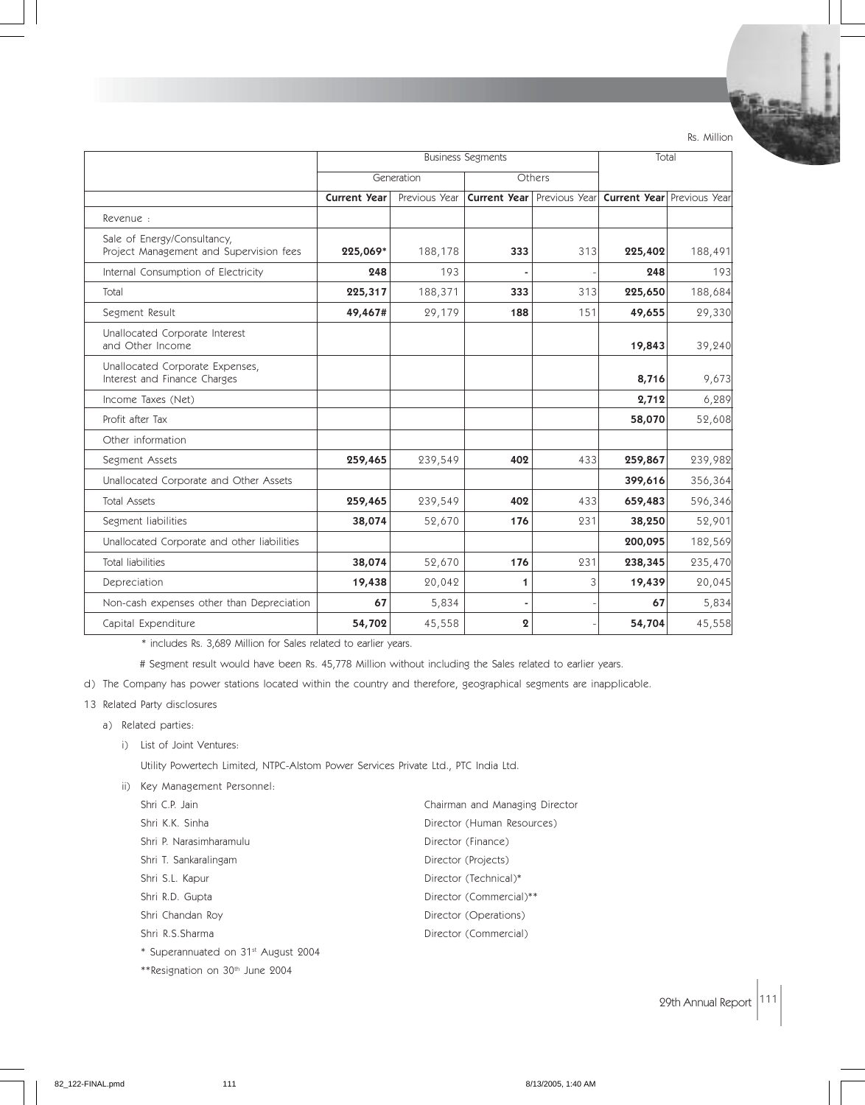Rs. Million

|                                                                        | <b>Business Segments</b> |               |                  | Total                             |         |                                   |
|------------------------------------------------------------------------|--------------------------|---------------|------------------|-----------------------------------|---------|-----------------------------------|
|                                                                        |                          | Generation    |                  | Others                            |         |                                   |
|                                                                        | <b>Current Year</b>      | Previous Year |                  | <b>Current Year</b> Previous Year |         | <b>Current Year</b> Previous Year |
| Revenue:                                                               |                          |               |                  |                                   |         |                                   |
| Sale of Energy/Consultancy,<br>Project Management and Supervision fees | 225,069*                 | 188,178       | 333              | 313                               | 225,402 | 188,491                           |
| Internal Consumption of Electricity                                    | 248                      | 193           |                  |                                   | 248     | 193                               |
| Total                                                                  | 225,317                  | 188,371       | 333              | 313                               | 225,650 | 188,684                           |
| Segment Result                                                         | 49,467#                  | 29,179        | 188              | 151                               | 49,655  | 29,330                            |
| Unallocated Corporate Interest<br>and Other Income                     |                          |               |                  |                                   | 19,843  | 39,240                            |
| Unallocated Corporate Expenses,<br>Interest and Finance Charges        |                          |               |                  |                                   | 8,716   | 9,673                             |
| Income Taxes (Net)                                                     |                          |               |                  |                                   | 2,712   | 6,289                             |
| Profit after Tax                                                       |                          |               |                  |                                   | 58,070  | 52,608                            |
| Other information                                                      |                          |               |                  |                                   |         |                                   |
| Segment Assets                                                         | 259,465                  | 239,549       | 402              | 433                               | 259,867 | 239,982                           |
| Unallocated Corporate and Other Assets                                 |                          |               |                  |                                   | 399,616 | 356,364                           |
| <b>Total Assets</b>                                                    | 259,465                  | 239,549       | 402              | 433                               | 659,483 | 596,346                           |
| Segment liabilities                                                    | 38,074                   | 52,670        | 176              | 231                               | 38,250  | 52,901                            |
| Unallocated Corporate and other liabilities                            |                          |               |                  |                                   | 200,095 | 182,569                           |
| <b>Total liabilities</b>                                               | 38,074                   | 52,670        | 176              | 231                               | 238,345 | 235,470                           |
| Depreciation                                                           | 19,438                   | 20,042        | 1                | 3                                 | 19,439  | 20,045                            |
| Non-cash expenses other than Depreciation                              | 67                       | 5,834         |                  |                                   | 67      | 5,834                             |
| Capital Expenditure                                                    | 54,702                   | 45,558        | $\boldsymbol{2}$ |                                   | 54,704  | 45,558                            |

\* includes Rs. 3,689 Million for Sales related to earlier years.

# Segment result would have been Rs. 45,778 Million without including the Sales related to earlier years.

d) The Company has power stations located within the country and therefore, geographical segments are inapplicable.

- 13 Related Party disclosures
	- a) Related parties:
		- i) List of Joint Ventures:

Utility Powertech Limited, NTPC-Alstom Power Services Private Ltd., PTC India Ltd.

ii) Key Management Personnel:

| Shri C.P. Jain                                  | Chairman and Managing Director |
|-------------------------------------------------|--------------------------------|
| Shri K.K. Sinha                                 | Director (Human Resources)     |
| Shri P. Narasimharamulu                         | Director (Finance)             |
| Shri T. Sankaralingam                           | Director (Projects)            |
| Shri S.L. Kapur                                 | Director (Technical)*          |
| Shri R.D. Gupta                                 | Director (Commercial)**        |
| Shri Chandan Roy                                | Director (Operations)          |
| Shri R.S.Sharma                                 | Director (Commercial)          |
| * Superannuated on 31 <sup>st</sup> August 2004 |                                |
| **Resignation on 30 <sup>th</sup> June 2004     |                                |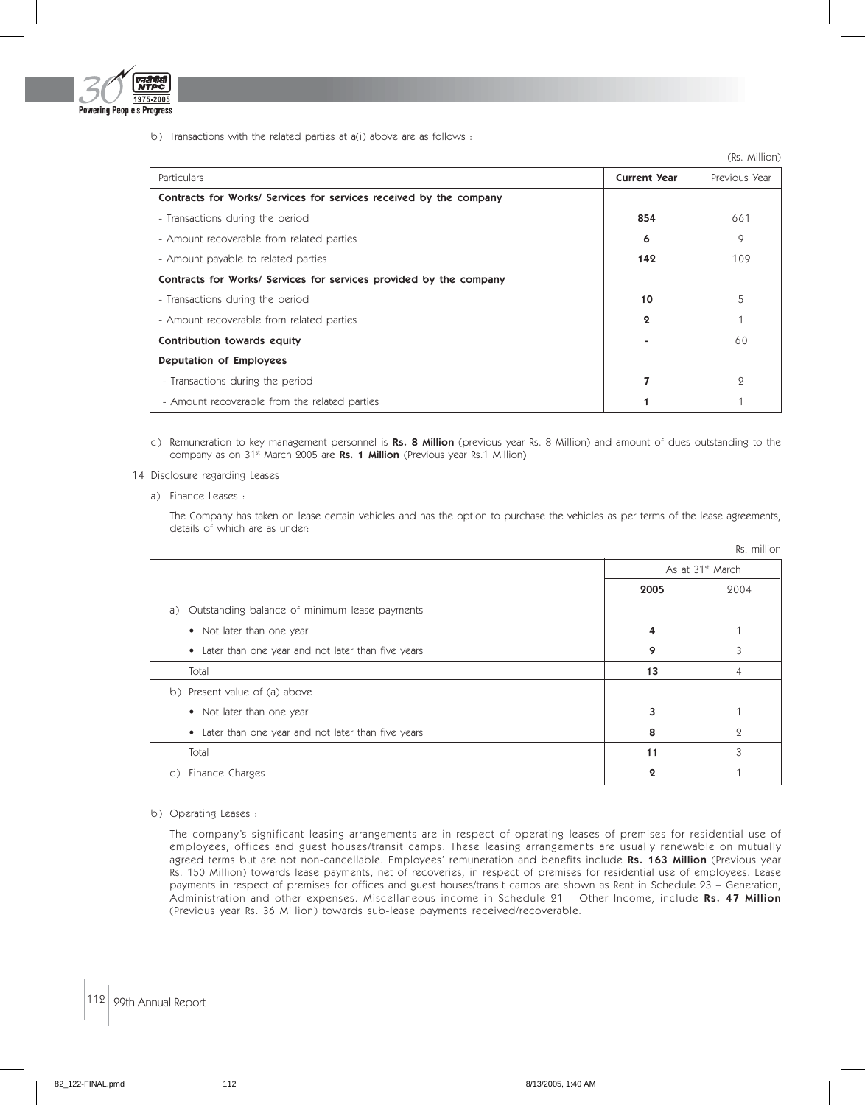

b) Transactions with the related parties at a(i) above are as follows :

|                                                                    |                       | (Rs. Million)  |
|--------------------------------------------------------------------|-----------------------|----------------|
| <b>Particulars</b>                                                 | <b>Current Year</b>   | Previous Year  |
| Contracts for Works/ Services for services received by the company |                       |                |
| - Transactions during the period                                   | 854                   | 661            |
| - Amount recoverable from related parties                          | 6                     | 9              |
| - Amount payable to related parties                                | 142                   | 109            |
| Contracts for Works/ Services for services provided by the company |                       |                |
| - Transactions during the period                                   | 10                    | 5              |
| - Amount recoverable from related parties                          | $\boldsymbol{\Omega}$ |                |
| Contribution towards equity                                        |                       | 60             |
| Deputation of Employees                                            |                       |                |
| - Transactions during the period                                   | 7                     | $\overline{Q}$ |
| - Amount recoverable from the related parties                      |                       |                |

c) Remuneration to key management personnel is Rs. 8 Million (previous year Rs. 8 Million) and amount of dues outstanding to the company as on 31<sup>st</sup> March 2005 are Rs. 1 Million (Previous year Rs.1 Million)

#### 14 Disclosure regarding Leases

a) Finance Leases :

The Company has taken on lease certain vehicles and has the option to purchase the vehicles as per terms of the lease agreements, details of which are as under:

Rs. million

|                |                                                                |                              | NJ. HHIIIVII  |
|----------------|----------------------------------------------------------------|------------------------------|---------------|
|                |                                                                | As at 31 <sup>st</sup> March |               |
|                |                                                                | 2005                         | 2004          |
| $\alpha$ )     | Outstanding balance of minimum lease payments                  |                              |               |
|                | • Not later than one year                                      | 4                            |               |
|                | Later than one year and not later than five years<br>$\bullet$ | 9                            | 3             |
|                | Total                                                          | 13                           | 4             |
| $ b\rangle$    | Present value of (a) above                                     |                              |               |
|                | Not later than one year<br>$\bullet$                           |                              |               |
|                | Later than one year and not later than five years<br>$\bullet$ | 8                            | $\mathcal{Q}$ |
|                | Total                                                          | 11                           | 3             |
| $\mathsf{C}$ ) | Finance Charges                                                | $\boldsymbol{\Omega}$        | 1             |

#### b) Operating Leases :

The company's significant leasing arrangements are in respect of operating leases of premises for residential use of employees, offices and guest houses/transit camps. These leasing arrangements are usually renewable on mutually agreed terms but are not non-cancellable. Employees' remuneration and benefits include Rs. 163 Million (Previous year Rs. 150 Million) towards lease payments, net of recoveries, in respect of premises for residential use of employees. Lease payments in respect of premises for offices and guest houses/transit camps are shown as Rent in Schedule 23 – Generation, Administration and other expenses. Miscellaneous income in Schedule 21 - Other Income, include Rs. 47 Million (Previous year Rs. 36 Million) towards sub-lease payments received/recoverable.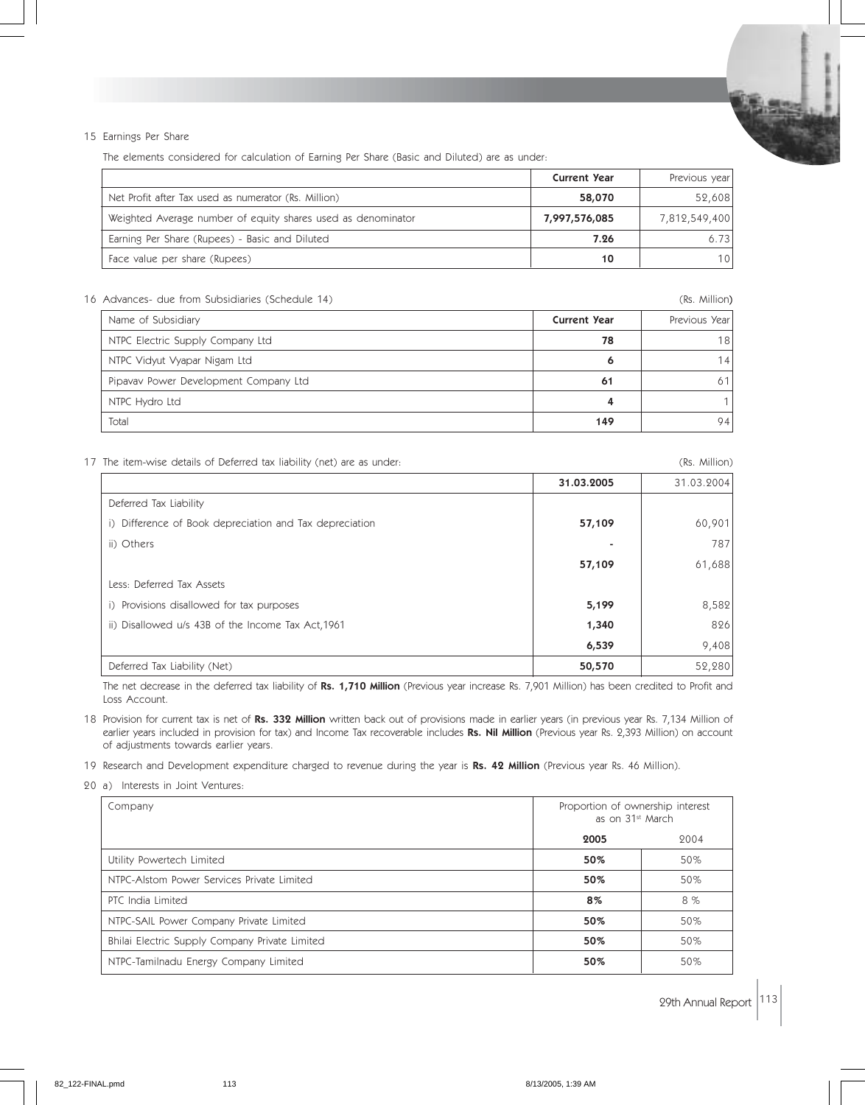

The elements considered for calculation of Earning Per Share (Basic and Diluted) are as under:

|                                                              | <b>Current Year</b> | Previous year |
|--------------------------------------------------------------|---------------------|---------------|
| Net Profit after Tax used as numerator (Rs. Million)         | 58,070              | 52,608        |
| Weighted Average number of equity shares used as denominator | 7,997,576,085       | 7,812,549,400 |
| Earning Per Share (Rupees) - Basic and Diluted               | 7.26                | 6.73          |
| Face value per share (Rupees)                                | 10                  | 101           |

#### 16 Advances- due from Subsidiaries (Schedule 14) (Rs. Million)

|     | Previous Year       |
|-----|---------------------|
| 78  | 18                  |
|     | 14                  |
| 61  | 61                  |
|     |                     |
| 149 | 94                  |
|     | <b>Current Year</b> |

17 The item-wise details of Deferred tax liability (net) are as under: (1) 12 The item-wise details of Deferred tax liability (net) are as under:

|                                                         | 31.03.2005 | 31.03.2004 |
|---------------------------------------------------------|------------|------------|
| Deferred Tax Liability                                  |            |            |
| i) Difference of Book depreciation and Tax depreciation | 57,109     | 60,901     |
| ii) Others                                              |            | 787        |
|                                                         | 57,109     | 61,688     |
| Less: Deferred Tax Assets                               |            |            |
| i) Provisions disallowed for tax purposes               | 5,199      | 8,582      |
| ii) Disallowed u/s 43B of the Income Tax Act, 1961      | 1,340      | 826        |
|                                                         | 6,539      | 9,408      |
| Deferred Tax Liability (Net)                            | 50,570     | 52,280     |

The net decrease in the deferred tax liability of Rs. 1,710 Million (Previous year increase Rs. 7,901 Million) has been credited to Profit and Loss Account.

18 Provision for current tax is net of Rs. 332 Million written back out of provisions made in earlier years (in previous year Rs. 7,134 Million of earlier years included in provision for tax) and Income Tax recoverable includes Rs. Nil Million (Previous year Rs. 2,393 Million) on account of adjustments towards earlier years.

19 Research and Development expenditure charged to revenue during the year is Rs. 42 Million (Previous year Rs. 46 Million).

20 a) Interests in Joint Ventures:

| Company                                        | Proportion of ownership interest<br>as on 31 <sup>st</sup> March |      |
|------------------------------------------------|------------------------------------------------------------------|------|
|                                                | 2005                                                             | 2004 |
| Utility Powertech Limited                      | 50%                                                              | 50%  |
| NTPC-Alstom Power Services Private Limited     | 50%                                                              | 50%  |
| PTC India Limited                              | 8%                                                               | 8%   |
| NTPC-SAIL Power Company Private Limited        | 50%                                                              | 50%  |
| Bhilai Electric Supply Company Private Limited | 50%                                                              | 50%  |
| NTPC-Tamilnadu Energy Company Limited          | 50%                                                              | 50%  |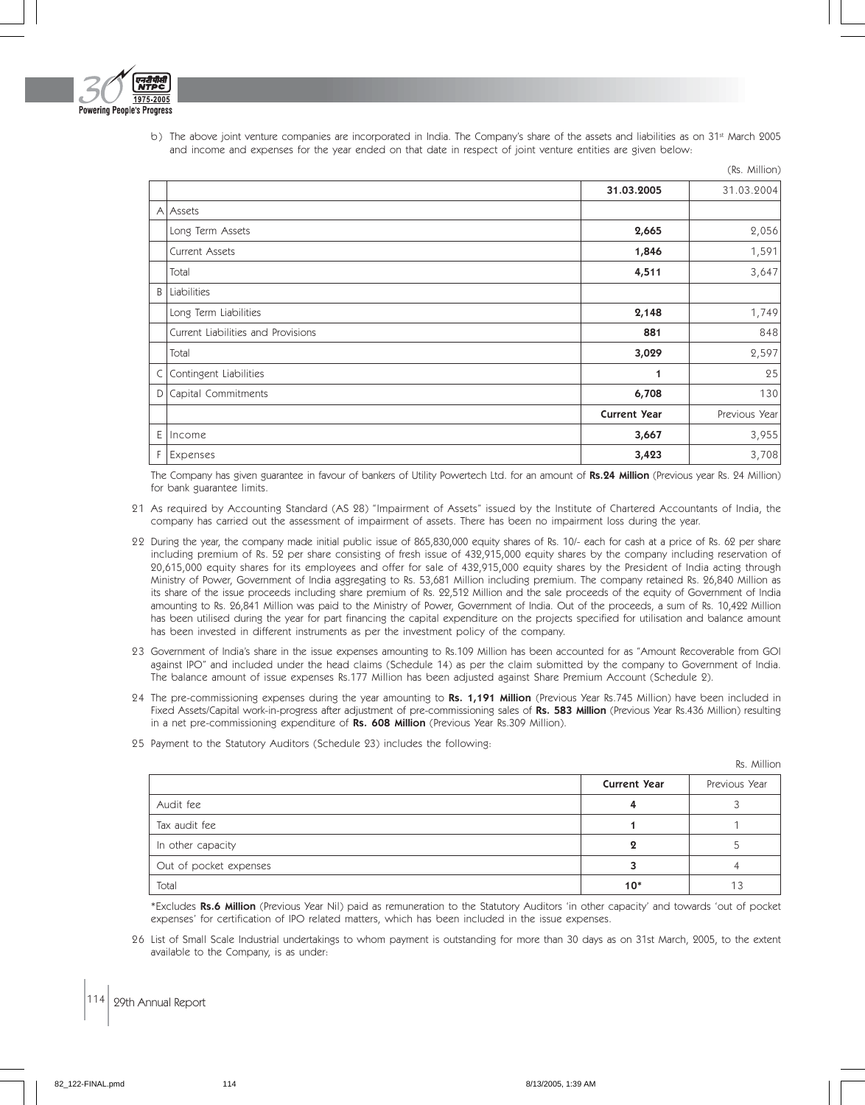

b) The above joint venture companies are incorporated in India. The Company's share of the assets and liabilities as on 31st March 2005 and income and expenses for the year ended on that date in respect of joint venture entities are given below:

|   |                                    |                     | (Rs. Million) |
|---|------------------------------------|---------------------|---------------|
|   |                                    | 31.03.2005          | 31.03.2004    |
|   | A Assets                           |                     |               |
|   | Long Term Assets                   | 2,665               | 2,056         |
|   | <b>Current Assets</b>              | 1,846               | 1,591         |
|   | Total                              | 4,511               | 3,647         |
| B | Liabilities                        |                     |               |
|   | Long Term Liabilities              | 2,148               | 1,749         |
|   | Current Liabilities and Provisions | 881                 | 848           |
|   | Total                              | 3,029               | 2,597         |
|   | C Contingent Liabilities           | 1                   | 25            |
|   | D Capital Commitments              | 6,708               | 130           |
|   |                                    | <b>Current Year</b> | Previous Year |
|   | $E$   Income                       | 3,667               | 3,955         |
|   | F Expenses                         | 3,423               | 3,708         |

The Company has given guarantee in favour of bankers of Utility Powertech Ltd. for an amount of Rs.24 Million (Previous year Rs. 24 Million) for bank guarantee limits.

- 21 As required by Accounting Standard (AS 28) "Impairment of Assets" issued by the Institute of Chartered Accountants of India, the company has carried out the assessment of impairment of assets. There has been no impairment loss during the year.
- 22 During the year, the company made initial public issue of 865,830,000 equity shares of Rs. 10/- each for cash at a price of Rs. 62 per share including premium of Rs. 52 per share consisting of fresh issue of 432,915,000 equity shares by the company including reservation of 20,615,000 equity shares for its employees and offer for sale of 432,915,000 equity shares by the President of India acting through Ministry of Power, Government of India aggregating to Rs. 53,681 Million including premium. The company retained Rs. 26,840 Million as its share of the issue proceeds including share premium of Rs. 22,512 Million and the sale proceeds of the equity of Government of India amounting to Rs. 26,841 Million was paid to the Ministry of Power, Government of India. Out of the proceeds, a sum of Rs. 10,422 Million has been utilised during the year for part financing the capital expenditure on the projects specified for utilisation and balance amount has been invested in different instruments as per the investment policy of the company.
- 23 Government of India's share in the issue expenses amounting to Rs.109 Million has been accounted for as "Amount Recoverable from GOI against IPO" and included under the head claims (Schedule 14) as per the claim submitted by the company to Government of India. The balance amount of issue expenses Rs.177 Million has been adjusted against Share Premium Account (Schedule 2).
- 24 The pre-commissioning expenses during the year amounting to Rs. 1,191 Million (Previous Year Rs.745 Million) have been included in Fixed Assets/Capital work-in-progress after adjustment of pre-commissioning sales of Rs. 583 Million (Previous Year Rs.436 Million) resulting in a net pre-commissioning expenditure of Rs. 608 Million (Previous Year Rs.309 Million).
- 25 Payment to the Statutory Auditors (Schedule 23) includes the following:

Rs. Million

|                        | <b>Current Year</b> | Previous Year |
|------------------------|---------------------|---------------|
| Audit fee              |                     |               |
| Tax audit fee          |                     |               |
| In other capacity      |                     |               |
| Out of pocket expenses |                     |               |
| Total                  | $10*$               | 13            |

\*Excludes Rs.6 Million (Previous Year Nil) paid as remuneration to the Statutory Auditors 'in other capacity' and towards 'out of pocket expenses' for certification of IPO related matters, which has been included in the issue expenses.

26 List of Small Scale Industrial undertakings to whom payment is outstanding for more than 30 days as on 31st March, 2005, to the extent available to the Company, is as under: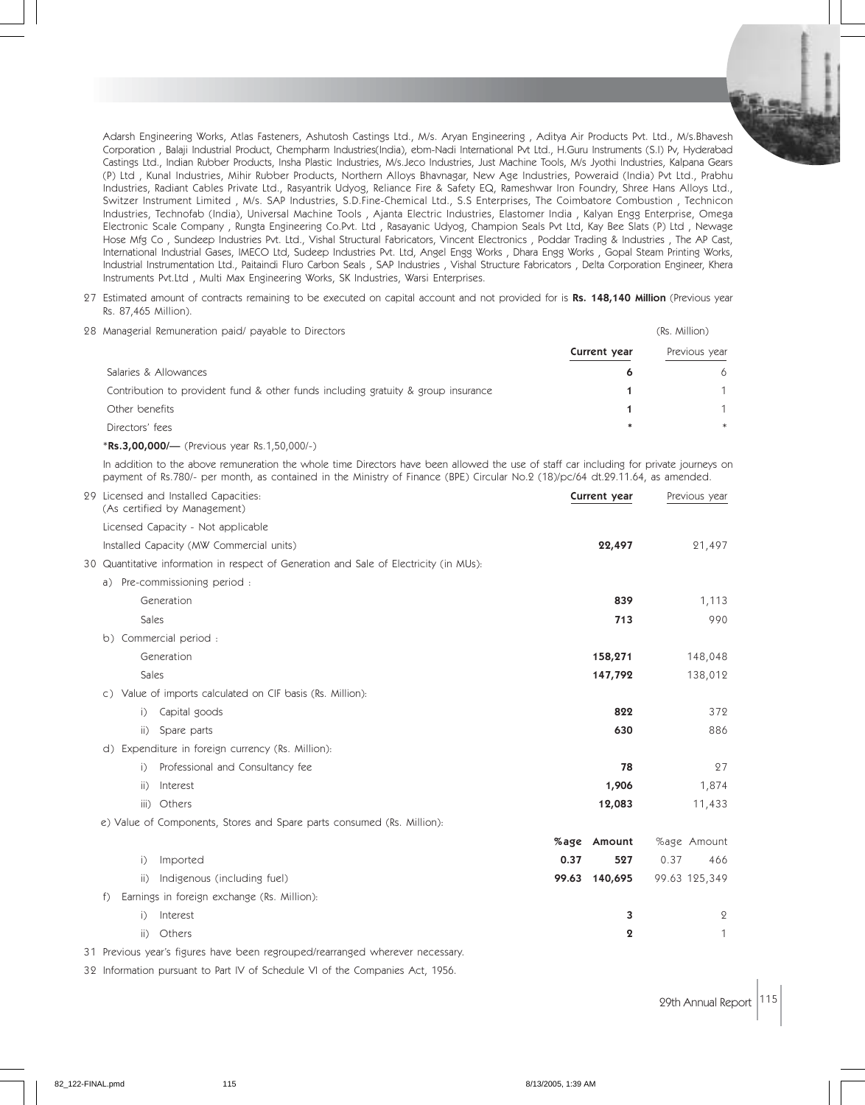Adarsh Engineering Works, Atlas Fasteners, Ashutosh Castings Ltd., M/s. Aryan Engineering , Aditya Air Products Pvt. Ltd., M/s.Bhavesh Corporation , Balaji Industrial Product, Chempharm Industries(India), ebm-Nadi International Pvt Ltd., H.Guru Instruments (S.I) Pv, Hyderabad Castings Ltd., Indian Rubber Products, Insha Plastic Industries, M/s.Jeco Industries, Just Machine Tools, M/s Jyothi Industries, Kalpana Gears (P) Ltd , Kunal Industries, Mihir Rubber Products, Northern Alloys Bhavnagar, New Age Industries, Poweraid (India) Pvt Ltd., Prabhu Industries, Radiant Cables Private Ltd., Rasyantrik Udyog, Reliance Fire & Safety EQ, Rameshwar Iron Foundry, Shree Hans Alloys Ltd., Switzer Instrument Limited , M/s. SAP Industries, S.D.Fine-Chemical Ltd., S.S Enterprises, The Coimbatore Combustion , Technicon Industries, Technofab (India), Universal Machine Tools , Ajanta Electric Industries, Elastomer India , Kalyan Engg Enterprise, Omega Electronic Scale Company , Rungta Engineering Co.Pvt. Ltd , Rasayanic Udyog, Champion Seals Pvt Ltd, Kay Bee Slats (P) Ltd , Newage Hose Mfg Co , Sundeep Industries Pvt. Ltd., Vishal Structural Fabricators, Vincent Electronics , Poddar Trading & Industries , The AP Cast, International Industrial Gases, IMECO Ltd, Sudeep Industries Pvt. Ltd, Angel Engg Works , Dhara Engg Works , Gopal Steam Printing Works, Industrial Instrumentation Ltd., Paitaindi Fluro Carbon Seals , SAP Industries , Vishal Structure Fabricators , Delta Corporation Engineer, Khera Instruments Pvt.Ltd , Multi Max Engineering Works, SK Industries, Warsi Enterprises.

27 Estimated amount of contracts remaining to be executed on capital account and not provided for is Rs. 148,140 Million (Previous year Rs. 87,465 Million).

| 28 Managerial Remuneration paid/ payable to Directors                             |              | (Rs. Million) |  |
|-----------------------------------------------------------------------------------|--------------|---------------|--|
|                                                                                   | Current year | Previous year |  |
| Salaries & Allowances                                                             |              | 6             |  |
| Contribution to provident fund & other funds including gratuity & group insurance |              |               |  |
| Other benefits                                                                    |              |               |  |
| Directors' fees                                                                   | $\ast$       | $*$           |  |
|                                                                                   |              |               |  |

\*Rs.3,00,000/— (Previous year Rs.1,50,000/-)

In addition to the above remuneration the whole time Directors have been allowed the use of staff car including for private journeys on payment of Rs.780/- per month, as contained in the Ministry of Finance (BPE) Circular No.2 (18)/pc/64 dt.29.11.64, as amended.

| 29 Licensed and Installed Capacities:<br>(As certified by Management)                  | Current year     | Previous year  |
|----------------------------------------------------------------------------------------|------------------|----------------|
| Licensed Capacity - Not applicable                                                     |                  |                |
| Installed Capacity (MW Commercial units)                                               | 22,497           | 21,497         |
| 30 Quantitative information in respect of Generation and Sale of Electricity (in MUs): |                  |                |
| a) Pre-commissioning period:                                                           |                  |                |
| Generation                                                                             | 839              | 1,113          |
| Sales                                                                                  | 713              | 990            |
| b) Commercial period:                                                                  |                  |                |
| Generation                                                                             | 158,271          | 148,048        |
| Sales                                                                                  | 147,792          | 138,012        |
| c) Value of imports calculated on CIF basis (Rs. Million):                             |                  |                |
| Capital goods<br>$\overline{1}$                                                        | 822              | 372            |
| Spare parts<br>$\overline{11}$                                                         | 630              | 886            |
| d) Expenditure in foreign currency (Rs. Million):                                      |                  |                |
| Professional and Consultancy fee<br>$\overline{1}$                                     | 78               | 27             |
| ii)<br>Interest                                                                        | 1,906            | 1,874          |
| iii) Others                                                                            | 12,083           | 11,433         |
| e) Value of Components, Stores and Spare parts consumed (Rs. Million):                 |                  |                |
|                                                                                        | %age<br>Amount   | %age Amount    |
| Imported<br>i)                                                                         | 0.37<br>527      | 0.37<br>466    |
| Indigenous (including fuel)<br>ii)                                                     | 99.63<br>140,695 | 99.63 125,349  |
| Earnings in foreign exchange (Rs. Million):<br>f                                       |                  |                |
| Interest<br>i)                                                                         | 3                | $\overline{2}$ |
| $\overline{ii}$<br>Others                                                              | 2                | 1              |

31 Previous year's figures have been regrouped/rearranged wherever necessary.

32 Information pursuant to Part IV of Schedule VI of the Companies Act, 1956.